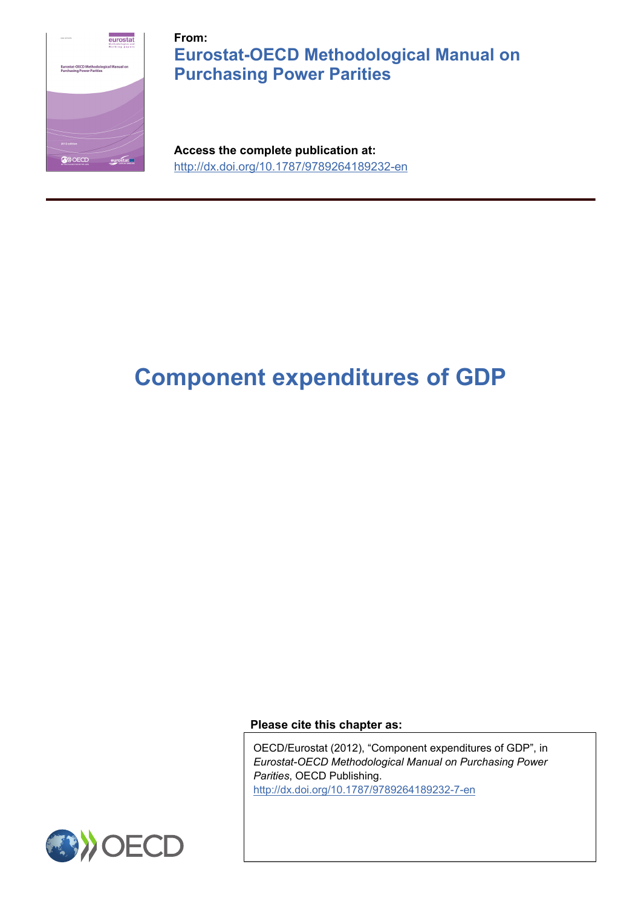

# **Component expenditures of GDP**

**Please cite this chapter as:**

OECD/Eurostat (2012), "Component expenditures of GDP", in *Eurostat-OECD Methodological Manual on Purchasing Power Parities*, OECD Publishing. <http://dx.doi.org/10.1787/9789264189232-7-en>

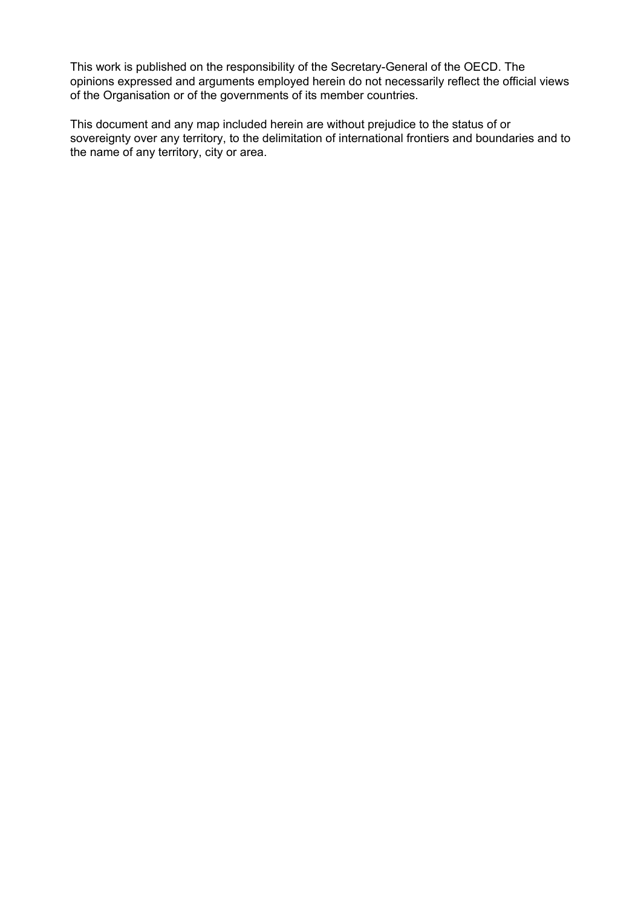This work is published on the responsibility of the Secretary-General of the OECD. The opinions expressed and arguments employed herein do not necessarily reflect the official views of the Organisation or of the governments of its member countries.

This document and any map included herein are without prejudice to the status of or sovereignty over any territory, to the delimitation of international frontiers and boundaries and to the name of any territory, city or area.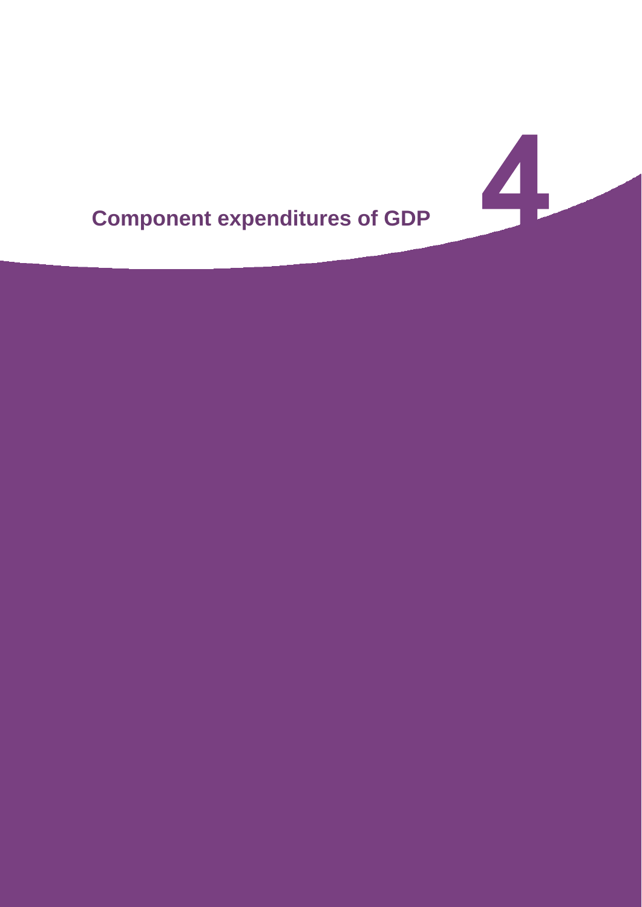

## **Component expenditures of GDP**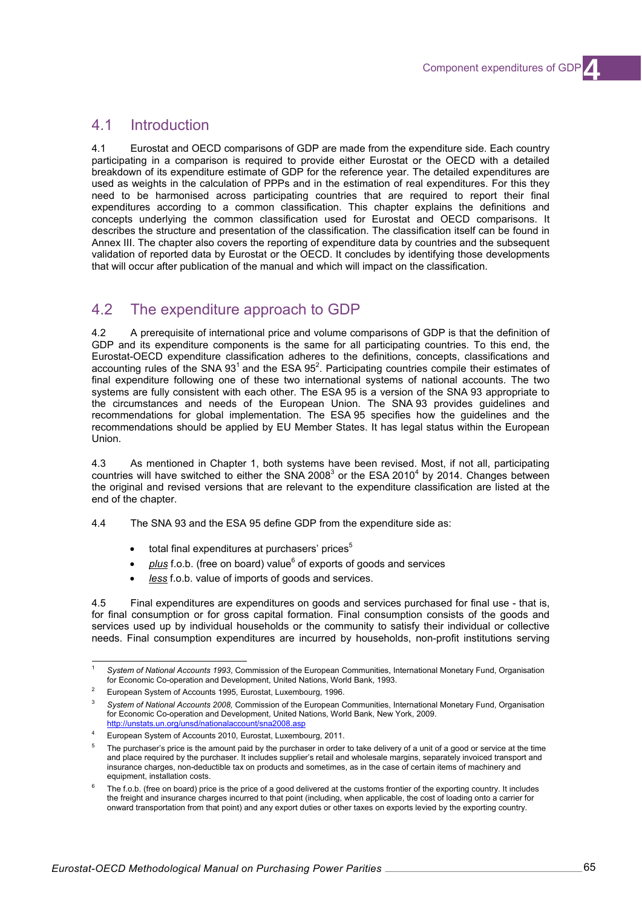## 4.1 Introduction

4.1 Eurostat and OECD comparisons of GDP are made from the expenditure side. Each country participating in a comparison is required to provide either Eurostat or the OECD with a detailed breakdown of its expenditure estimate of GDP for the reference year. The detailed expenditures are used as weights in the calculation of PPPs and in the estimation of real expenditures. For this they need to be harmonised across participating countries that are required to report their final expenditures according to a common classification. This chapter explains the definitions and concepts underlying the common classification used for Eurostat and OECD comparisons. It describes the structure and presentation of the classification. The classification itself can be found in Annex III. The chapter also covers the reporting of expenditure data by countries and the subsequent validation of reported data by Eurostat or the OECD. It concludes by identifying those developments that will occur after publication of the manual and which will impact on the classification.

## 4.2 The expenditure approach to GDP

4.2 A prerequisite of international price and volume comparisons of GDP is that the definition of GDP and its expenditure components is the same for all participating countries. To this end, the Eurostat-OECD expenditure classification adheres to the definitions, concepts, classifications and accounting rules of the SNA 93<sup>1</sup> and the ESA 95<sup>2</sup>. Participating countries compile their estimates of final expenditure following one of these two international systems of national accounts. The two systems are fully consistent with each other. The ESA 95 is a version of the SNA 93 appropriate to the circumstances and needs of the European Union. The SNA 93 provides guidelines and recommendations for global implementation. The ESA 95 specifies how the guidelines and the recommendations should be applied by EU Member States. It has legal status within the European Union.

4.3 As mentioned in Chapter 1, both systems have been revised. Most, if not all, participating countries will have switched to either the SNA 2008 $^3$  or the ESA 2010<sup>4</sup> by 2014. Changes between the original and revised versions that are relevant to the expenditure classification are listed at the end of the chapter.

- 4.4 The SNA 93 and the ESA 95 define GDP from the expenditure side as:
	- total final expenditures at purchasers' prices<sup>5</sup>
	- plus f.o.b. (free on board) value<sup>6</sup> of exports of goods and services
	- less f.o.b. value of imports of goods and services.

4.5 Final expenditures are expenditures on goods and services purchased for final use - that is, for final consumption or for gross capital formation. Final consumption consists of the goods and services used up by individual households or the community to satisfy their individual or collective needs. Final consumption expenditures are incurred by households, non-profit institutions serving

<sup>-</sup><sup>1</sup> *System of National Accounts 1993*, Commission of the European Communities, International Monetary Fund, Organisation for Economic Co-operation and Development, United Nations, World Bank, 1993.

<sup>2</sup> European System of Accounts 1995, Eurostat, Luxembourg, 1996.

<sup>3</sup> *System of National Accounts 2008,* Commission of the European Communities, International Monetary Fund, Organisation for Economic Co-operation and Development, United Nations, World Bank, New York, 2009. <http://unstats.un.org/unsd/nationalaccount/sna2008.asp>

<sup>4</sup> European System of Accounts 2010, Eurostat, Luxembourg, 2011.

<sup>5</sup> The purchaser's price is the amount paid by the purchaser in order to take delivery of a unit of a good or service at the time and place required by the purchaser. It includes supplier's retail and wholesale margins, separately invoiced transport and insurance charges, non-deductible tax on products and sometimes, as in the case of certain items of machinery and equipment, installation costs.

<sup>6</sup> The f.o.b. (free on board) price is the price of a good delivered at the customs frontier of the exporting country. It includes the freight and insurance charges incurred to that point (including, when applicable, the cost of loading onto a carrier for onward transportation from that point) and any export duties or other taxes on exports levied by the exporting country.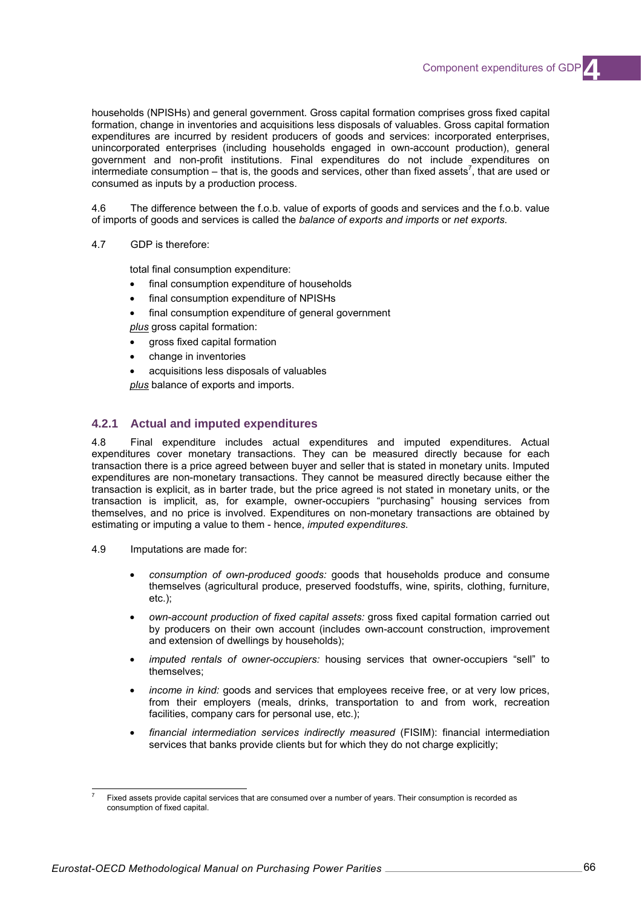households (NPISHs) and general government. Gross capital formation comprises gross fixed capital formation, change in inventories and acquisitions less disposals of valuables. Gross capital formation expenditures are incurred by resident producers of goods and services: incorporated enterprises, unincorporated enterprises (including households engaged in own-account production), general government and non-profit institutions. Final expenditures do not include expenditures on intermediate consumption  $-$  that is, the goods and services, other than fixed assets<sup>7</sup>, that are used or consumed as inputs by a production process.

4.6 The difference between the f.o.b. value of exports of goods and services and the f.o.b. value of imports of goods and services is called the *balance of exports and imports* or *net exports*.

#### 4.7 GDP is therefore:

total final consumption expenditure:

- final consumption expenditure of households
- final consumption expenditure of NPISHs
- final consumption expenditure of general government *plus* gross capital formation:
- gross fixed capital formation
- change in inventories
- acquisitions less disposals of valuables

*plus* balance of exports and imports.

#### **4.2.1 Actual and imputed expenditures**

4.8 Final expenditure includes actual expenditures and imputed expenditures. Actual expenditures cover monetary transactions. They can be measured directly because for each transaction there is a price agreed between buyer and seller that is stated in monetary units. Imputed expenditures are non-monetary transactions. They cannot be measured directly because either the transaction is explicit, as in barter trade, but the price agreed is not stated in monetary units, or the transaction is implicit, as, for example, owner-occupiers "purchasing" housing services from themselves, and no price is involved. Expenditures on non-monetary transactions are obtained by estimating or imputing a value to them - hence, *imputed expenditures*.

- 4.9 Imputations are made for:
	- *consumption of own-produced goods:* goods that households produce and consume themselves (agricultural produce, preserved foodstuffs, wine, spirits, clothing, furniture, etc.);
	- *own-account production of fixed capital assets:* gross fixed capital formation carried out by producers on their own account (includes own-account construction, improvement and extension of dwellings by households);
	- *imputed rentals of owner-occupiers:* housing services that owner-occupiers "sell" to themselves;
	- *income in kind:* goods and services that employees receive free, or at very low prices, from their employers (meals, drinks, transportation to and from work, recreation facilities, company cars for personal use, etc.);
	- *financial intermediation services indirectly measured* (FISIM): financial intermediation services that banks provide clients but for which they do not charge explicitly;

<sup>-</sup>7 Fixed assets provide capital services that are consumed over a number of years. Their consumption is recorded as consumption of fixed capital.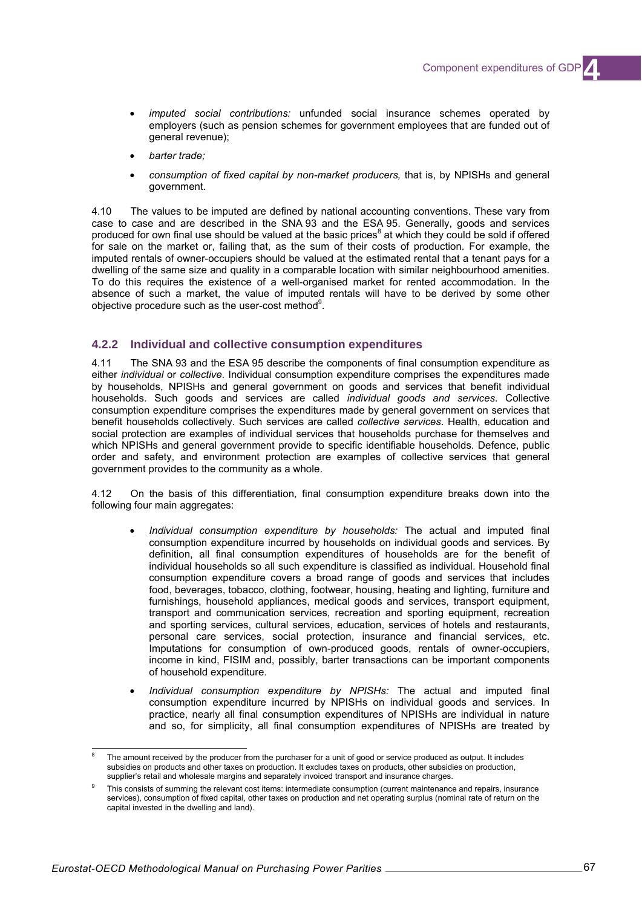- *imputed social contributions:* unfunded social insurance schemes operated by employers (such as pension schemes for government employees that are funded out of general revenue);
- *barter trade;*
- *consumption of fixed capital by non-market producers,* that is, by NPISHs and general government.

4.10 The values to be imputed are defined by national accounting conventions. These vary from case to case and are described in the SNA 93 and the ESA 95. Generally, goods and services produced for own final use should be valued at the basic prices<sup>8</sup> at which they could be sold if offered for sale on the market or, failing that, as the sum of their costs of production. For example, the imputed rentals of owner-occupiers should be valued at the estimated rental that a tenant pays for a dwelling of the same size and quality in a comparable location with similar neighbourhood amenities. To do this requires the existence of a well-organised market for rented accommodation. In the absence of such a market, the value of imputed rentals will have to be derived by some other objective procedure such as the user-cost method<sup>9</sup>.

#### **4.2.2 Individual and collective consumption expenditures**

4.11 The SNA 93 and the ESA 95 describe the components of final consumption expenditure as either *individual* or *collective*. Individual consumption expenditure comprises the expenditures made by households, NPISHs and general government on goods and services that benefit individual households. Such goods and services are called *individual goods and services*. Collective consumption expenditure comprises the expenditures made by general government on services that benefit households collectively. Such services are called *collective services*. Health, education and social protection are examples of individual services that households purchase for themselves and which NPISHs and general government provide to specific identifiable households. Defence, public order and safety, and environment protection are examples of collective services that general government provides to the community as a whole.

4.12 On the basis of this differentiation, final consumption expenditure breaks down into the following four main aggregates:

- *Individual consumption expenditure by households:* The actual and imputed final consumption expenditure incurred by households on individual goods and services. By definition, all final consumption expenditures of households are for the benefit of individual households so all such expenditure is classified as individual. Household final consumption expenditure covers a broad range of goods and services that includes food, beverages, tobacco, clothing, footwear, housing, heating and lighting, furniture and furnishings, household appliances, medical goods and services, transport equipment, transport and communication services, recreation and sporting equipment, recreation and sporting services, cultural services, education, services of hotels and restaurants, personal care services, social protection, insurance and financial services, etc. Imputations for consumption of own-produced goods, rentals of owner-occupiers, income in kind, FISIM and, possibly, barter transactions can be important components of household expenditure.
- *Individual consumption expenditure by NPISHs:* The actual and imputed final consumption expenditure incurred by NPISHs on individual goods and services. In practice, nearly all final consumption expenditures of NPISHs are individual in nature and so, for simplicity, all final consumption expenditures of NPISHs are treated by

<sup>-</sup>8 The amount received by the producer from the purchaser for a unit of good or service produced as output. It includes subsidies on products and other taxes on production. It excludes taxes on products, other subsidies on production, supplier's retail and wholesale margins and separately invoiced transport and insurance charges.

<sup>9</sup> This consists of summing the relevant cost items: intermediate consumption (current maintenance and repairs, insurance services), consumption of fixed capital, other taxes on production and net operating surplus (nominal rate of return on the capital invested in the dwelling and land).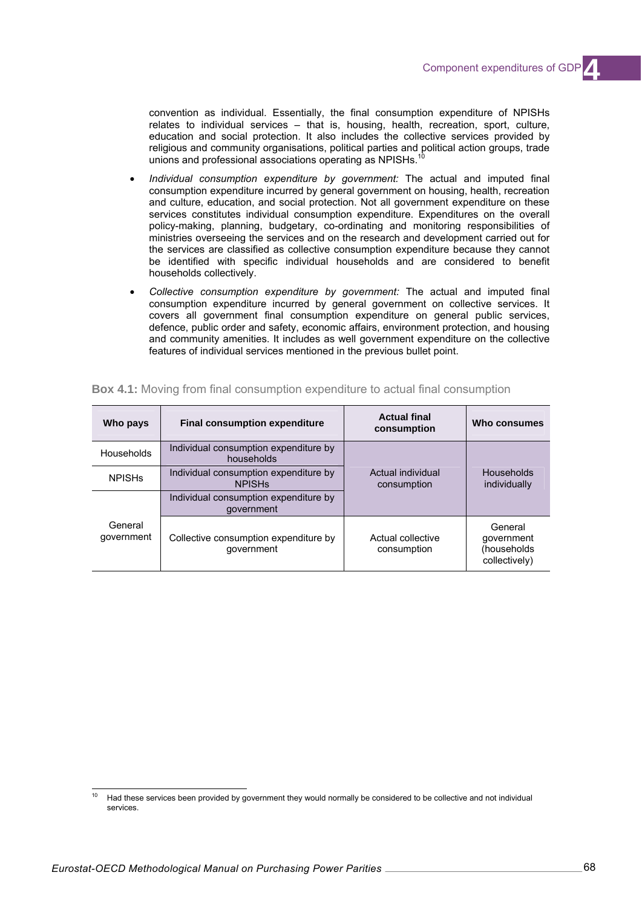convention as individual. Essentially, the final consumption expenditure of NPISHs relates to individual services – that is, housing, health, recreation, sport, culture, education and social protection. It also includes the collective services provided by religious and community organisations, political parties and political action groups, trade unions and professional associations operating as NPISHs.<sup>1</sup>

- *Individual consumption expenditure by government:* The actual and imputed final consumption expenditure incurred by general government on housing, health, recreation and culture, education, and social protection. Not all government expenditure on these services constitutes individual consumption expenditure. Expenditures on the overall policy-making, planning, budgetary, co-ordinating and monitoring responsibilities of ministries overseeing the services and on the research and development carried out for the services are classified as collective consumption expenditure because they cannot be identified with specific individual households and are considered to benefit households collectively.
- *Collective consumption expenditure by government:* The actual and imputed final consumption expenditure incurred by general government on collective services. It covers all government final consumption expenditure on general public services, defence, public order and safety, economic affairs, environment protection, and housing and community amenities. It includes as well government expenditure on the collective features of individual services mentioned in the previous bullet point.

| Who pays              | <b>Final consumption expenditure</b>                   | <b>Actual final</b><br>consumption | Who consumes                                          |
|-----------------------|--------------------------------------------------------|------------------------------------|-------------------------------------------------------|
| <b>Households</b>     | Individual consumption expenditure by<br>households    |                                    |                                                       |
| <b>NPISHS</b>         | Individual consumption expenditure by<br><b>NPISHS</b> | Actual individual<br>consumption   | Households<br>individually                            |
| General<br>government | Individual consumption expenditure by<br>government    |                                    |                                                       |
|                       | Collective consumption expenditure by<br>government    | Actual collective<br>consumption   | General<br>government<br>(households<br>collectively) |

#### **Box 4.1:** Moving from final consumption expenditure to actual final consumption

<sup>-</sup>Had these services been provided by government they would normally be considered to be collective and not individual services.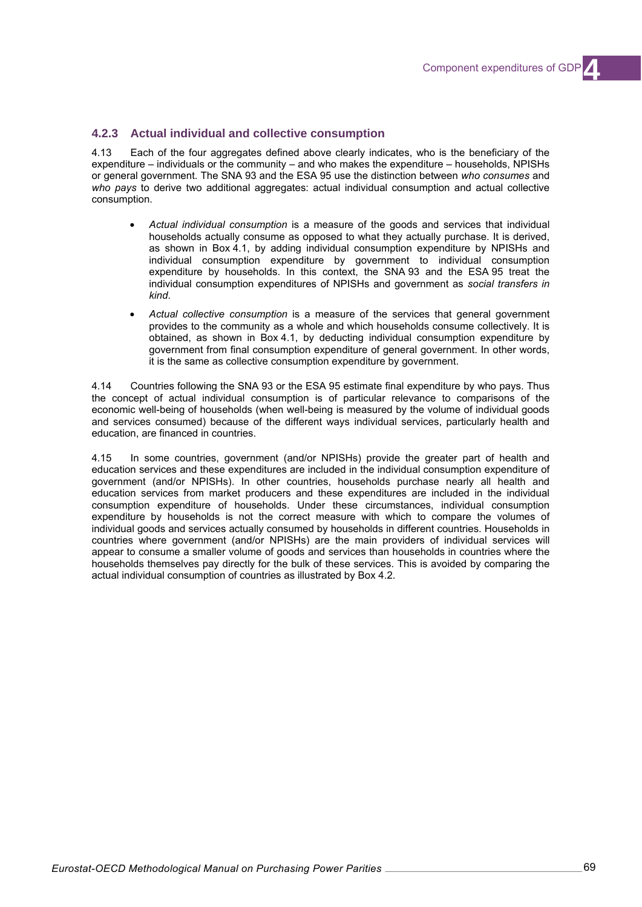#### **4.2.3 Actual individual and collective consumption**

4.13 Each of the four aggregates defined above clearly indicates, who is the beneficiary of the expenditure – individuals or the community – and who makes the expenditure – households, NPISHs or general government. The SNA 93 and the ESA 95 use the distinction between *who consumes* and *who pays* to derive two additional aggregates: actual individual consumption and actual collective consumption.

- *Actual individual consumption* is a measure of the goods and services that individual households actually consume as opposed to what they actually purchase. It is derived, as shown in Box 4.1, by adding individual consumption expenditure by NPISHs and individual consumption expenditure by government to individual consumption expenditure by households. In this context, the SNA 93 and the ESA 95 treat the individual consumption expenditures of NPISHs and government as *social transfers in kind*.
- *Actual collective consumption* is a measure of the services that general government provides to the community as a whole and which households consume collectively. It is obtained, as shown in Box 4.1, by deducting individual consumption expenditure by government from final consumption expenditure of general government. In other words, it is the same as collective consumption expenditure by government.

4.14 Countries following the SNA 93 or the ESA 95 estimate final expenditure by who pays. Thus the concept of actual individual consumption is of particular relevance to comparisons of the economic well-being of households (when well-being is measured by the volume of individual goods and services consumed) because of the different ways individual services, particularly health and education, are financed in countries.

4.15 In some countries, government (and/or NPISHs) provide the greater part of health and education services and these expenditures are included in the individual consumption expenditure of government (and/or NPISHs). In other countries, households purchase nearly all health and education services from market producers and these expenditures are included in the individual consumption expenditure of households. Under these circumstances, individual consumption expenditure by households is not the correct measure with which to compare the volumes of individual goods and services actually consumed by households in different countries. Households in countries where government (and/or NPISHs) are the main providers of individual services will appear to consume a smaller volume of goods and services than households in countries where the households themselves pay directly for the bulk of these services. This is avoided by comparing the actual individual consumption of countries as illustrated by Box 4.2.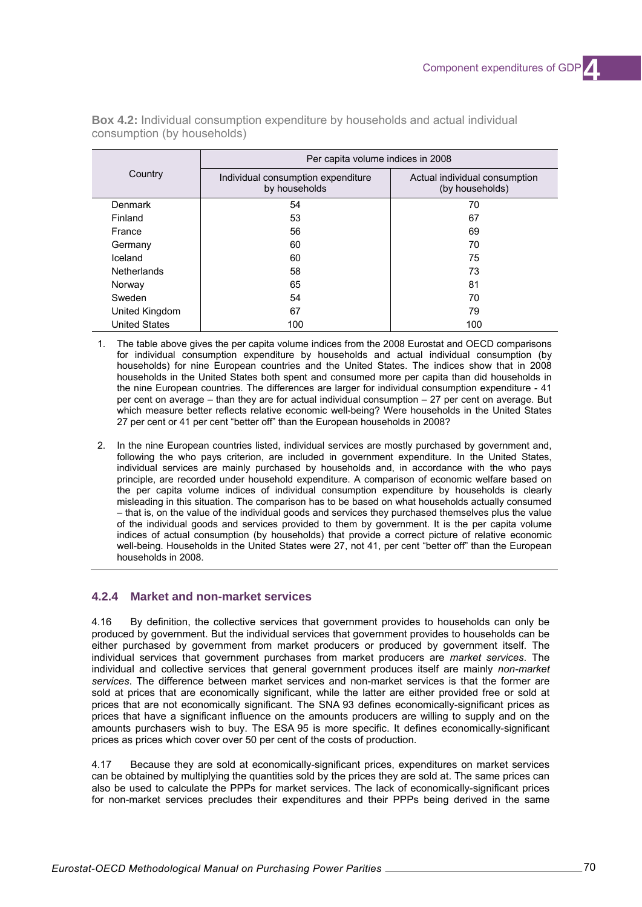|                      | Per capita volume indices in 2008                   |                                                  |  |  |
|----------------------|-----------------------------------------------------|--------------------------------------------------|--|--|
| Country              | Individual consumption expenditure<br>by households | Actual individual consumption<br>(by households) |  |  |
| Denmark              | 54                                                  | 70                                               |  |  |
| Finland              | 53                                                  | 67                                               |  |  |
| France               | 56                                                  | 69                                               |  |  |
| Germany              | 60                                                  | 70                                               |  |  |
| Iceland              | 60                                                  | 75                                               |  |  |
| <b>Netherlands</b>   | 58                                                  | 73                                               |  |  |
| Norway               | 65                                                  | 81                                               |  |  |
| Sweden               | 54                                                  | 70                                               |  |  |
| United Kingdom       | 67                                                  | 79                                               |  |  |
| <b>United States</b> | 100                                                 | 100                                              |  |  |

**Box 4.2:** Individual consumption expenditure by households and actual individual consumption (by households)

- 1. The table above gives the per capita volume indices from the 2008 Eurostat and OECD comparisons for individual consumption expenditure by households and actual individual consumption (by households) for nine European countries and the United States. The indices show that in 2008 households in the United States both spent and consumed more per capita than did households in the nine European countries. The differences are larger for individual consumption expenditure - 41 per cent on average – than they are for actual individual consumption – 27 per cent on average. But which measure better reflects relative economic well-being? Were households in the United States 27 per cent or 41 per cent "better off" than the European households in 2008?
- 2. In the nine European countries listed, individual services are mostly purchased by government and, following the who pays criterion, are included in government expenditure. In the United States, individual services are mainly purchased by households and, in accordance with the who pays principle, are recorded under household expenditure. A comparison of economic welfare based on the per capita volume indices of individual consumption expenditure by households is clearly misleading in this situation. The comparison has to be based on what households actually consumed – that is, on the value of the individual goods and services they purchased themselves plus the value of the individual goods and services provided to them by government. It is the per capita volume indices of actual consumption (by households) that provide a correct picture of relative economic well-being. Households in the United States were 27, not 41, per cent "better off" than the European households in 2008.

#### **4.2.4 Market and non-market services**

4.16 By definition, the collective services that government provides to households can only be produced by government. But the individual services that government provides to households can be either purchased by government from market producers or produced by government itself. The individual services that government purchases from market producers are *market services*. The individual and collective services that general government produces itself are mainly *non-market services*. The difference between market services and non-market services is that the former are sold at prices that are economically significant, while the latter are either provided free or sold at prices that are not economically significant. The SNA 93 defines economically-significant prices as prices that have a significant influence on the amounts producers are willing to supply and on the amounts purchasers wish to buy. The ESA 95 is more specific. It defines economically-significant prices as prices which cover over 50 per cent of the costs of production.

4.17 Because they are sold at economically-significant prices, expenditures on market services can be obtained by multiplying the quantities sold by the prices they are sold at. The same prices can also be used to calculate the PPPs for market services. The lack of economically-significant prices for non-market services precludes their expenditures and their PPPs being derived in the same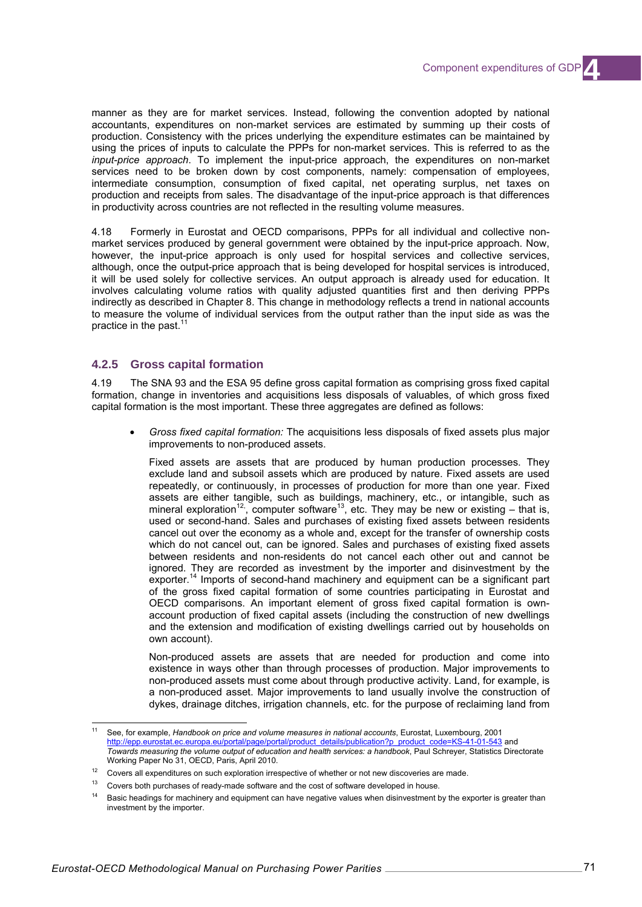manner as they are for market services. Instead, following the convention adopted by national accountants, expenditures on non-market services are estimated by summing up their costs of production. Consistency with the prices underlying the expenditure estimates can be maintained by using the prices of inputs to calculate the PPPs for non-market services. This is referred to as the *input-price approach*. To implement the input-price approach, the expenditures on non-market services need to be broken down by cost components, namely: compensation of employees, intermediate consumption, consumption of fixed capital, net operating surplus, net taxes on production and receipts from sales. The disadvantage of the input-price approach is that differences in productivity across countries are not reflected in the resulting volume measures.

4.18 Formerly in Eurostat and OECD comparisons, PPPs for all individual and collective nonmarket services produced by general government were obtained by the input-price approach. Now, however, the input-price approach is only used for hospital services and collective services, although, once the output-price approach that is being developed for hospital services is introduced, it will be used solely for collective services. An output approach is already used for education. It involves calculating volume ratios with quality adjusted quantities first and then deriving PPPs indirectly as described in Chapter 8. This change in methodology reflects a trend in national accounts to measure the volume of individual services from the output rather than the input side as was the practice in the past.<sup>11</sup>

#### **4.2.5 Gross capital formation**

4.19 The SNA 93 and the ESA 95 define gross capital formation as comprising gross fixed capital formation, change in inventories and acquisitions less disposals of valuables, of which gross fixed capital formation is the most important. These three aggregates are defined as follows:

• *Gross fixed capital formation:* The acquisitions less disposals of fixed assets plus major improvements to non-produced assets.

Fixed assets are assets that are produced by human production processes. They exclude land and subsoil assets which are produced by nature. Fixed assets are used repeatedly, or continuously, in processes of production for more than one year. Fixed assets are either tangible, such as buildings, machinery, etc., or intangible, such as mineral exploration<sup>12</sup>, computer software<sup>13</sup>, etc. They may be new or existing – that is, used or second-hand. Sales and purchases of existing fixed assets between residents cancel out over the economy as a whole and, except for the transfer of ownership costs which do not cancel out, can be ignored. Sales and purchases of existing fixed assets between residents and non-residents do not cancel each other out and cannot be ignored. They are recorded as investment by the importer and disinvestment by the exporter.<sup>14</sup> Imports of second-hand machinery and equipment can be a significant part of the gross fixed capital formation of some countries participating in Eurostat and OECD comparisons. An important element of gross fixed capital formation is ownaccount production of fixed capital assets (including the construction of new dwellings and the extension and modification of existing dwellings carried out by households on own account).

Non-produced assets are assets that are needed for production and come into existence in ways other than through processes of production. Major improvements to non-produced assets must come about through productive activity. Land, for example, is a non-produced asset. Major improvements to land usually involve the construction of dykes, drainage ditches, irrigation channels, etc. for the purpose of reclaiming land from

 $11$ 11 See, for example, *Handbook on price and volume measures in national accounts*, Eurostat, Luxembourg, 2001 [http://epp.eurostat.ec.europa.eu/portal/page/portal/product\\_details/publication?p\\_product\\_code=KS-41-01-543 an](http://epp.eurostat.ec.europa.eu/portal/page/portal/product_details/publication?p_product_code=KS-41-01-543)d *Towards measuring the volume output of education and health services: a handbook*, Paul Schreyer, Statistics Directorate Working Paper No 31, OECD, Paris, April 2010.

 $12$  Covers all expenditures on such exploration irrespective of whether or not new discoveries are made.

 $13$  Covers both purchases of ready-made software and the cost of software developed in house.

Basic headings for machinery and equipment can have negative values when disinvestment by the exporter is greater than investment by the importer.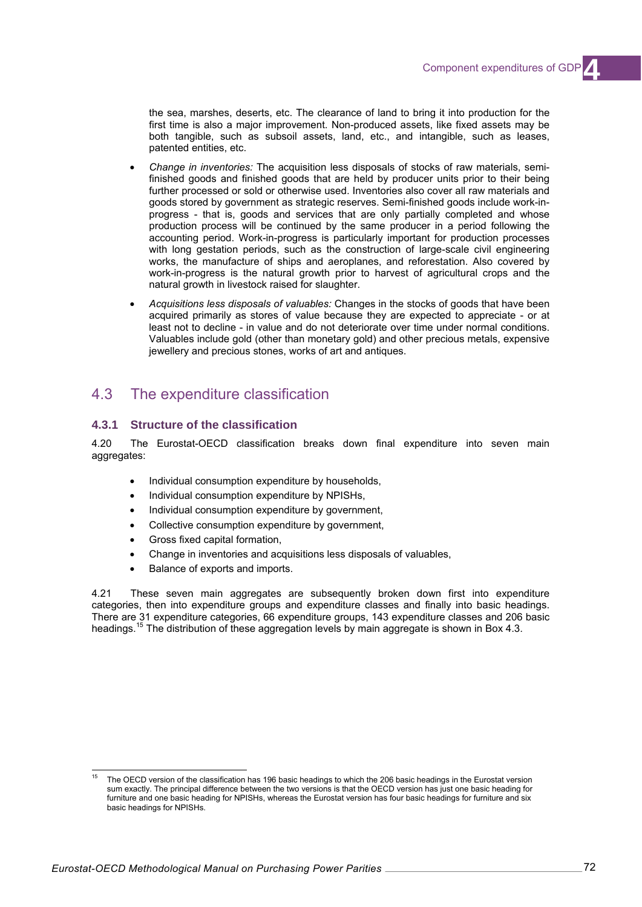the sea, marshes, deserts, etc. The clearance of land to bring it into production for the first time is also a major improvement. Non-produced assets, like fixed assets may be both tangible, such as subsoil assets, land, etc., and intangible, such as leases, patented entities, etc.

- *Change in inventories:* The acquisition less disposals of stocks of raw materials, semifinished goods and finished goods that are held by producer units prior to their being further processed or sold or otherwise used. Inventories also cover all raw materials and goods stored by government as strategic reserves. Semi-finished goods include work-inprogress - that is, goods and services that are only partially completed and whose production process will be continued by the same producer in a period following the accounting period. Work-in-progress is particularly important for production processes with long gestation periods, such as the construction of large-scale civil engineering works, the manufacture of ships and aeroplanes, and reforestation. Also covered by work-in-progress is the natural growth prior to harvest of agricultural crops and the natural growth in livestock raised for slaughter.
- *Acquisitions less disposals of valuables:* Changes in the stocks of goods that have been acquired primarily as stores of value because they are expected to appreciate - or at least not to decline - in value and do not deteriorate over time under normal conditions. Valuables include gold (other than monetary gold) and other precious metals, expensive jewellery and precious stones, works of art and antiques.

## 4.3 The expenditure classification

#### **4.3.1 Structure of the classification**

4.20 The Eurostat-OECD classification breaks down final expenditure into seven main aggregates:

- Individual consumption expenditure by households,
- Individual consumption expenditure by NPISHs,
- Individual consumption expenditure by government,
- Collective consumption expenditure by government,
- Gross fixed capital formation,
- Change in inventories and acquisitions less disposals of valuables,
- Balance of exports and imports.

4.21 These seven main aggregates are subsequently broken down first into expenditure categories, then into expenditure groups and expenditure classes and finally into basic headings. There are 31 expenditure categories, 66 expenditure groups, 143 expenditure classes and 206 basic headings.<sup>15</sup> The distribution of these aggregation levels by main aggregate is shown in Box 4.3.

<sup>-</sup>15 The OECD version of the classification has 196 basic headings to which the 206 basic headings in the Eurostat version sum exactly. The principal difference between the two versions is that the OECD version has just one basic heading for furniture and one basic heading for NPISHs, whereas the Eurostat version has four basic headings for furniture and six basic headings for NPISHs.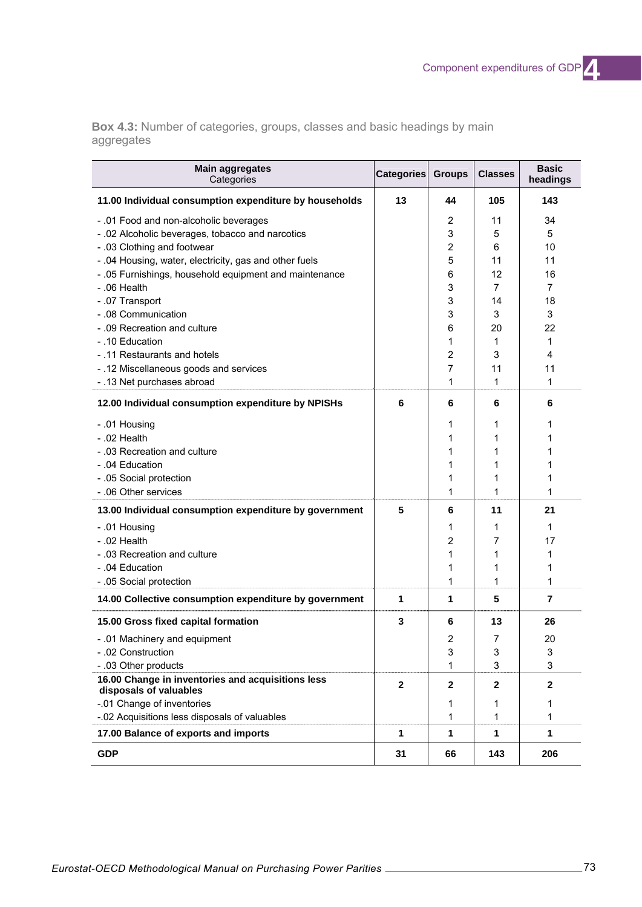**Box 4.3:** Number of categories, groups, classes and basic headings by main aggregates

| <b>Main aggregates</b><br>Categories                                        | <b>Categories</b> | <b>Groups</b>  | <b>Classes</b> | <b>Basic</b><br>headings |
|-----------------------------------------------------------------------------|-------------------|----------------|----------------|--------------------------|
| 11.00 Individual consumption expenditure by households                      | 13                | 44             | 105            | 143                      |
| - .01 Food and non-alcoholic beverages                                      |                   | 2              | 11             | 34                       |
| - .02 Alcoholic beverages, tobacco and narcotics                            |                   | 3              | 5              | 5                        |
| - .03 Clothing and footwear                                                 |                   | $\overline{2}$ | 6              | 10                       |
| - .04 Housing, water, electricity, gas and other fuels                      |                   | 5              | 11             | 11                       |
| - .05 Furnishings, household equipment and maintenance                      |                   | 6              | 12             | 16                       |
| $-06$ Health                                                                |                   | 3              | 7              | 7                        |
| - .07 Transport                                                             |                   | 3              | 14             | 18                       |
| - .08 Communication                                                         |                   | 3              | 3              | 3                        |
| - .09 Recreation and culture                                                |                   | 6              | 20             | 22                       |
| - .10 Education                                                             |                   | 1              | 1              | 1                        |
| -.11 Restaurants and hotels                                                 |                   | 2              | 3              | 4                        |
| - .12 Miscellaneous goods and services                                      |                   | 7              | 11             | 11                       |
| - .13 Net purchases abroad                                                  |                   | 1              | 1              | 1                        |
| 12.00 Individual consumption expenditure by NPISHs                          | 6                 | 6              | 6              | 6                        |
| - .01 Housing                                                               |                   | 1              | 1              | 1                        |
| $-0.02$ Health                                                              |                   | 1              | 1              | 1                        |
| - .03 Recreation and culture                                                |                   | 1              | 1              | 1                        |
| - .04 Education                                                             |                   | 1              | 1              | 1                        |
| - .05 Social protection                                                     |                   | 1              | 1              | 1                        |
| - .06 Other services                                                        |                   | 1              | 1              | 1                        |
| 13.00 Individual consumption expenditure by government                      | 5                 | 6              | 11             | 21                       |
| - .01 Housing                                                               |                   | 1              | 1              | 1                        |
| $-0.02$ Health                                                              |                   | 2              | 7              | 17                       |
| - .03 Recreation and culture                                                |                   | 1              | 1              | 1                        |
| - .04 Education                                                             |                   | 1              | 1              | 1                        |
| - .05 Social protection                                                     |                   | 1              | 1              | 1                        |
| 14.00 Collective consumption expenditure by government                      | 1                 | 1              | 5              | 7                        |
| 15.00 Gross fixed capital formation                                         | 3                 | 6              | 13             | 26                       |
| - .01 Machinery and equipment                                               |                   | 2              | 7              | 20                       |
| - .02 Construction                                                          |                   | 3              | 3              | 3                        |
| - .03 Other products                                                        |                   | 1              | 3              | 3                        |
| 16.00 Change in inventories and acquisitions less<br>disposals of valuables | $\mathbf 2$       | $\mathbf{2}$   | 2              | 2                        |
| -.01 Change of inventories                                                  |                   | 1              | 1              | 1                        |
| -.02 Acquisitions less disposals of valuables                               |                   | 1              | 1              | 1                        |
| 17.00 Balance of exports and imports                                        | 1                 | 1              | 1              | 1                        |
| <b>GDP</b>                                                                  | 31                | 66             | 143            | 206                      |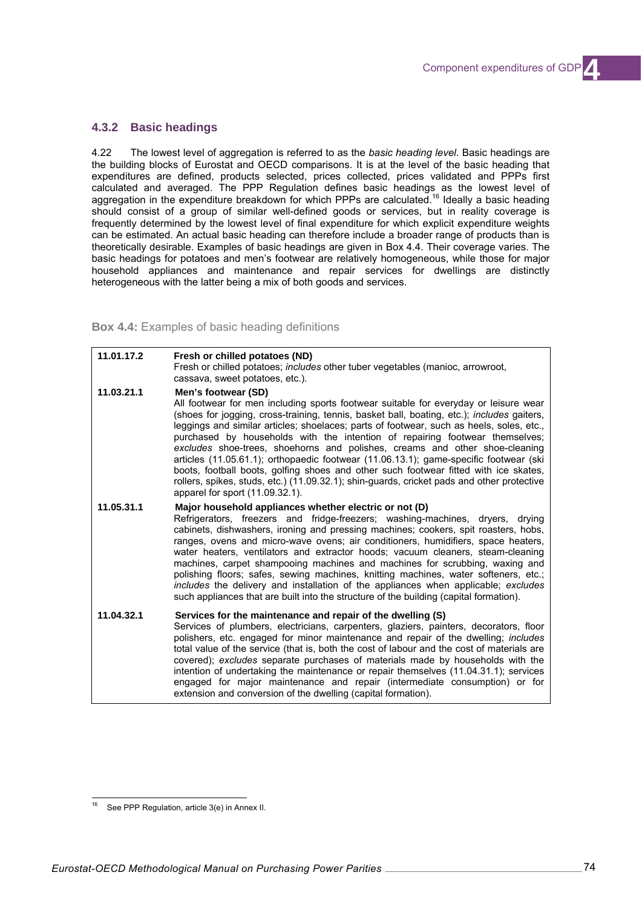#### **4.3.2 Basic headings**

4.22 The lowest level of aggregation is referred to as the *basic heading level*. Basic headings are the building blocks of Eurostat and OECD comparisons. It is at the level of the basic heading that expenditures are defined, products selected, prices collected, prices validated and PPPs first calculated and averaged. The PPP Regulation defines basic headings as the lowest level of aggregation in the expenditure breakdown for which PPPs are calculated.<sup>16</sup> Ideally a basic heading should consist of a group of similar well-defined goods or services, but in reality coverage is frequently determined by the lowest level of final expenditure for which explicit expenditure weights can be estimated. An actual basic heading can therefore include a broader range of products than is theoretically desirable. Examples of basic headings are given in Box 4.4. Their coverage varies. The basic headings for potatoes and men's footwear are relatively homogeneous, while those for major household appliances and maintenance and repair services for dwellings are distinctly heterogeneous with the latter being a mix of both goods and services.

**Box 4.4:** Examples of basic heading definitions

| 11.01.17.2 | Fresh or chilled potatoes (ND)<br>Fresh or chilled potatoes; includes other tuber vegetables (manioc, arrowroot,<br>cassava, sweet potatoes, etc.).                                                                                                                                                                                                                                                                                                                                                                                                                                                                                                                                                                                                                                    |
|------------|----------------------------------------------------------------------------------------------------------------------------------------------------------------------------------------------------------------------------------------------------------------------------------------------------------------------------------------------------------------------------------------------------------------------------------------------------------------------------------------------------------------------------------------------------------------------------------------------------------------------------------------------------------------------------------------------------------------------------------------------------------------------------------------|
| 11.03.21.1 | Men's footwear (SD)<br>All footwear for men including sports footwear suitable for everyday or leisure wear<br>(shoes for jogging, cross-training, tennis, basket ball, boating, etc.); includes gaiters,<br>leggings and similar articles; shoelaces; parts of footwear, such as heels, soles, etc.,<br>purchased by households with the intention of repairing footwear themselves;<br>excludes shoe-trees, shoehorns and polishes, creams and other shoe-cleaning<br>articles (11.05.61.1); orthopaedic footwear (11.06.13.1); game-specific footwear (ski<br>boots, football boots, golfing shoes and other such footwear fitted with ice skates,<br>rollers, spikes, studs, etc.) (11.09.32.1); shin-guards, cricket pads and other protective<br>apparel for sport (11.09.32.1). |
| 11.05.31.1 | Major household appliances whether electric or not (D)<br>Refrigerators, freezers and fridge-freezers; washing-machines, dryers, drying<br>cabinets, dishwashers, ironing and pressing machines; cookers, spit roasters, hobs,<br>ranges, ovens and micro-wave ovens; air conditioners, humidifiers, space heaters,<br>water heaters, ventilators and extractor hoods; vacuum cleaners, steam-cleaning<br>machines, carpet shampooing machines and machines for scrubbing, waxing and<br>polishing floors; safes, sewing machines, knitting machines, water softeners, etc.;<br>includes the delivery and installation of the appliances when applicable; excludes<br>such appliances that are built into the structure of the building (capital formation).                           |
| 11.04.32.1 | Services for the maintenance and repair of the dwelling (S)<br>Services of plumbers, electricians, carpenters, glaziers, painters, decorators, floor<br>polishers, etc. engaged for minor maintenance and repair of the dwelling; <i>includes</i><br>total value of the service (that is, both the cost of labour and the cost of materials are<br>covered); excludes separate purchases of materials made by households with the<br>intention of undertaking the maintenance or repair themselves (11.04.31.1); services<br>engaged for major maintenance and repair (intermediate consumption) or for<br>extension and conversion of the dwelling (capital formation).                                                                                                               |

 $16$ See PPP Regulation, article 3(e) in Annex II.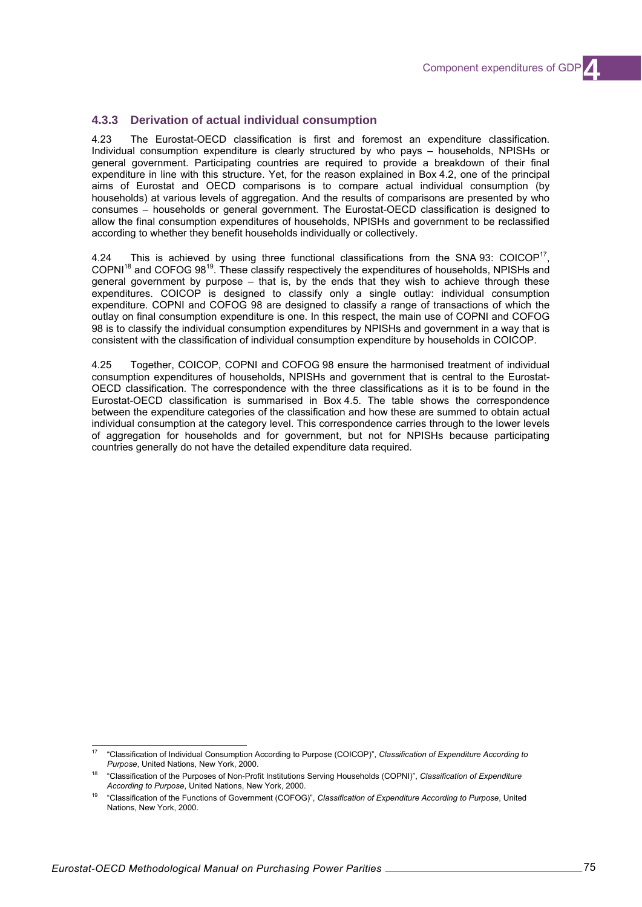#### **4.3.3 Derivation of actual individual consumption**

4.23 The Eurostat-OECD classification is first and foremost an expenditure classification. Individual consumption expenditure is clearly structured by who pays – households, NPISHs or general government. Participating countries are required to provide a breakdown of their final expenditure in line with this structure. Yet, for the reason explained in Box 4.2, one of the principal aims of Eurostat and OECD comparisons is to compare actual individual consumption (by households) at various levels of aggregation. And the results of comparisons are presented by who consumes – households or general government. The Eurostat-OECD classification is designed to allow the final consumption expenditures of households, NPISHs and government to be reclassified according to whether they benefit households individually or collectively.

4.24 This is achieved by using three functional classifications from the SNA 93: COICOP<sup>17</sup>. COPNI18 and COFOG 9819. These classify respectively the expenditures of households, NPISHs and general government by purpose – that is, by the ends that they wish to achieve through these expenditures. COICOP is designed to classify only a single outlay: individual consumption expenditure. COPNI and COFOG 98 are designed to classify a range of transactions of which the outlay on final consumption expenditure is one. In this respect, the main use of COPNI and COFOG 98 is to classify the individual consumption expenditures by NPISHs and government in a way that is consistent with the classification of individual consumption expenditure by households in COICOP.

4.25 Together, COICOP, COPNI and COFOG 98 ensure the harmonised treatment of individual consumption expenditures of households, NPISHs and government that is central to the Eurostat-OECD classification. The correspondence with the three classifications as it is to be found in the Eurostat-OECD classification is summarised in Box 4.5. The table shows the correspondence between the expenditure categories of the classification and how these are summed to obtain actual individual consumption at the category level. This correspondence carries through to the lower levels of aggregation for households and for government, but not for NPISHs because participating countries generally do not have the detailed expenditure data required.

 $17$ 17 "Classification of Individual Consumption According to Purpose (COICOP)", *Classification of Expenditure According to Purpose*, United Nations, New York, 2000.

<sup>18 &</sup>quot;Classification of the Purposes of Non-Profit Institutions Serving Households (COPNI)", *Classification of Expenditure According to Purpose*, United Nations, New York, 2000.

<sup>19 &</sup>quot;Classification of the Functions of Government (COFOG)", *Classification of Expenditure According to Purpose*, United Nations, New York, 2000.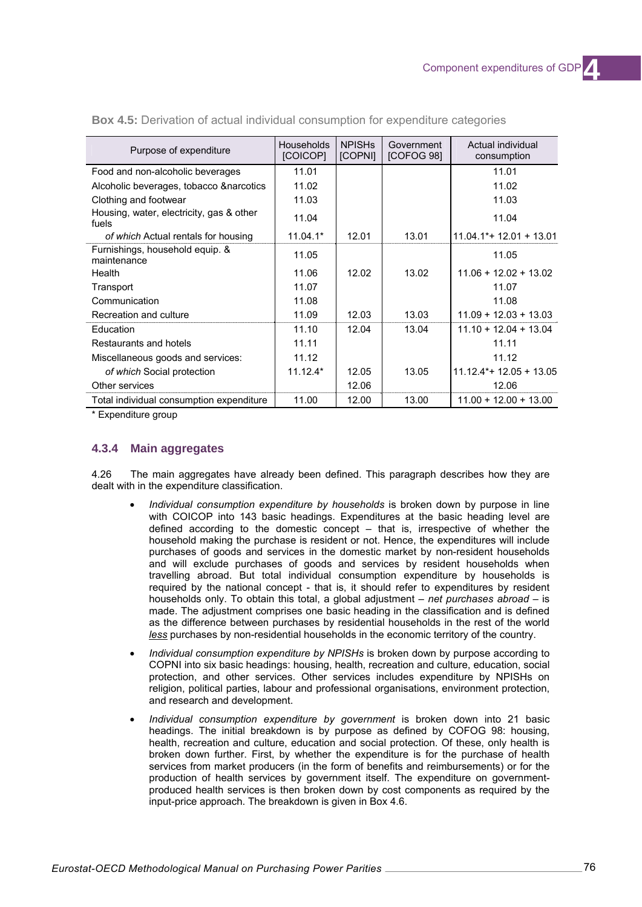| Purpose of expenditure                            | <b>Households</b><br>[COICOP] | <b>NPISHS</b><br><b>ICOPNII</b> | Government<br><b>ICOFOG 981</b> | Actual individual<br>consumption |
|---------------------------------------------------|-------------------------------|---------------------------------|---------------------------------|----------------------------------|
| Food and non-alcoholic beverages                  | 11.01                         |                                 |                                 | 11.01                            |
| Alcoholic beverages, tobacco & narcotics          | 11.02                         |                                 |                                 | 11.02                            |
| Clothing and footwear                             | 11.03                         |                                 |                                 | 11.03                            |
| Housing, water, electricity, gas & other<br>fuels | 11.04                         |                                 |                                 | 11.04                            |
| of which Actual rentals for housing               | $11.04.1*$                    | 12.01                           | 13.01                           | $11.04.1^{*}$ + 12.01 + 13.01    |
| Furnishings, household equip. &<br>maintenance    | 11.05                         |                                 |                                 | 11.05                            |
| Health                                            | 11.06                         | 12.02                           | 13.02                           | $11.06 + 12.02 + 13.02$          |
| Transport                                         | 11.07                         |                                 |                                 | 11.07                            |
| Communication                                     | 11.08                         |                                 |                                 | 11.08                            |
| Recreation and culture                            | 11.09                         | 12.03                           | 13.03                           | $11.09 + 12.03 + 13.03$          |
| Education                                         | 11.10                         | 12.04                           | 13.04                           | $11.10 + 12.04 + 13.04$          |
| Restaurants and hotels                            | 11.11                         |                                 |                                 | 11.11                            |
| Miscellaneous goods and services:                 | 11.12                         |                                 |                                 | 11.12                            |
| of which Social protection                        | $11.12.4*$                    | 12.05                           | 13.05                           | $11.12.4* + 12.05 + 13.05$       |
| Other services                                    |                               | 12.06                           |                                 | 12.06                            |
| Total individual consumption expenditure          | 11.00                         | 12.00                           | 13.00                           | $11.00 + 12.00 + 13.00$          |

**Box 4.5:** Derivation of actual individual consumption for expenditure categories

\* Expenditure group

#### **4.3.4 Main aggregates**

4.26 The main aggregates have already been defined. This paragraph describes how they are dealt with in the expenditure classification.

- *Individual consumption expenditure by households* is broken down by purpose in line with COICOP into 143 basic headings. Expenditures at the basic heading level are defined according to the domestic concept – that is, irrespective of whether the household making the purchase is resident or not. Hence, the expenditures will include purchases of goods and services in the domestic market by non-resident households and will exclude purchases of goods and services by resident households when travelling abroad. But total individual consumption expenditure by households is required by the national concept - that is, it should refer to expenditures by resident households only. To obtain this total, a global adjustment – *net purchases abroad* – is made. The adjustment comprises one basic heading in the classification and is defined as the difference between purchases by residential households in the rest of the world *less* purchases by non-residential households in the economic territory of the country.
- *Individual consumption expenditure by NPISHs* is broken down by purpose according to COPNI into six basic headings: housing, health, recreation and culture, education, social protection, and other services. Other services includes expenditure by NPISHs on religion, political parties, labour and professional organisations, environment protection, and research and development.
- *Individual consumption expenditure by government* is broken down into 21 basic headings. The initial breakdown is by purpose as defined by COFOG 98: housing, health, recreation and culture, education and social protection. Of these, only health is broken down further. First, by whether the expenditure is for the purchase of health services from market producers (in the form of benefits and reimbursements) or for the production of health services by government itself. The expenditure on governmentproduced health services is then broken down by cost components as required by the input-price approach. The breakdown is given in Box 4.6.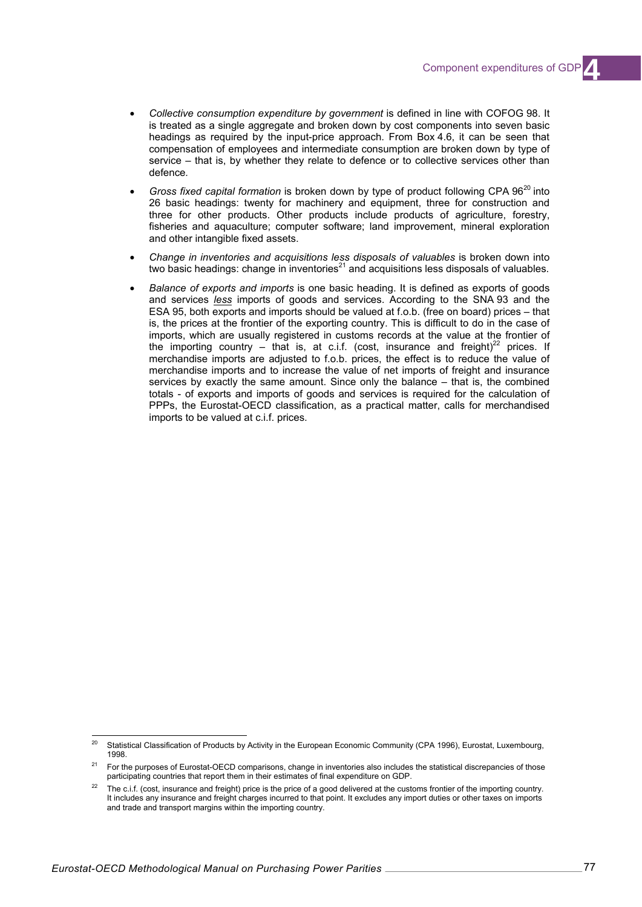- *Collective consumption expenditure by government* is defined in line with COFOG 98. It is treated as a single aggregate and broken down by cost components into seven basic headings as required by the input-price approach. From Box 4.6, it can be seen that compensation of employees and intermediate consumption are broken down by type of service – that is, by whether they relate to defence or to collective services other than defence*.*
- *Gross fixed capital formation* is broken down by type of product following CPA 96<sup>20</sup> into 26 basic headings: twenty for machinery and equipment, three for construction and three for other products. Other products include products of agriculture, forestry, fisheries and aquaculture; computer software; land improvement, mineral exploration and other intangible fixed assets.
- *Change in inventories and acquisitions less disposals of valuables* is broken down into two basic headings: change in inventories $2<sup>1</sup>$  and acquisitions less disposals of valuables.
- *Balance of exports and imports* is one basic heading. It is defined as exports of goods and services *less* imports of goods and services. According to the SNA 93 and the ESA 95, both exports and imports should be valued at f.o.b. (free on board) prices – that is, the prices at the frontier of the exporting country. This is difficult to do in the case of imports, which are usually registered in customs records at the value at the frontier of the importing country – that is, at c.i.f. (cost, insurance and freight) $^{22}$  prices. If merchandise imports are adjusted to f.o.b. prices, the effect is to reduce the value of merchandise imports and to increase the value of net imports of freight and insurance services by exactly the same amount. Since only the balance – that is, the combined totals - of exports and imports of goods and services is required for the calculation of PPPs, the Eurostat-OECD classification, as a practical matter, calls for merchandised imports to be valued at c.i.f. prices.

 $20$ 20 Statistical Classification of Products by Activity in the European Economic Community (CPA 1996), Eurostat, Luxembourg, 1998.

<sup>&</sup>lt;sup>21</sup> For the purposes of Eurostat-OECD comparisons, change in inventories also includes the statistical discrepancies of those participating countries that report them in their estimates of final expenditure on GDP.

The c.i.f. (cost, insurance and freight) price is the price of a good delivered at the customs frontier of the importing country. It includes any insurance and freight charges incurred to that point. It excludes any import duties or other taxes on imports and trade and transport margins within the importing country.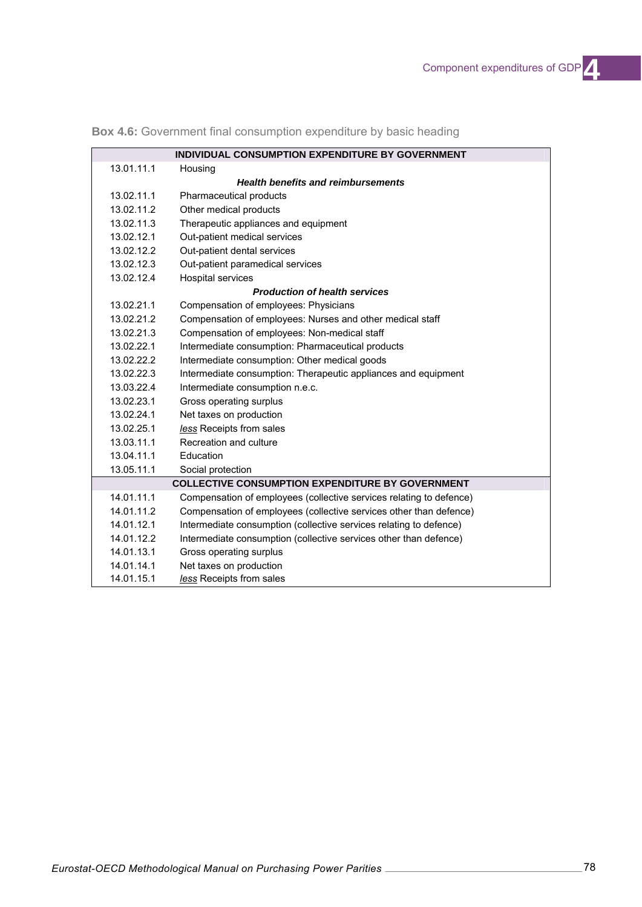| <b>INDIVIDUAL CONSUMPTION EXPENDITURE BY GOVERNMENT</b> |                                                                     |  |  |
|---------------------------------------------------------|---------------------------------------------------------------------|--|--|
| 13.01.11.1                                              | Housing                                                             |  |  |
|                                                         | <b>Health benefits and reimbursements</b>                           |  |  |
| 13.02.11.1                                              | Pharmaceutical products                                             |  |  |
| 13.02.11.2                                              | Other medical products                                              |  |  |
| 13.02.11.3                                              | Therapeutic appliances and equipment                                |  |  |
| 13.02.12.1                                              | Out-patient medical services                                        |  |  |
| 13.02.12.2                                              | Out-patient dental services                                         |  |  |
| 13.02.12.3                                              | Out-patient paramedical services                                    |  |  |
| 13.02.12.4                                              | <b>Hospital services</b>                                            |  |  |
|                                                         | <b>Production of health services</b>                                |  |  |
| 13.02.21.1                                              | Compensation of employees: Physicians                               |  |  |
| 13.02.21.2                                              | Compensation of employees: Nurses and other medical staff           |  |  |
| 13.02.21.3                                              | Compensation of employees: Non-medical staff                        |  |  |
| 13.02.22.1                                              | Intermediate consumption: Pharmaceutical products                   |  |  |
| 13.02.22.2                                              | Intermediate consumption: Other medical goods                       |  |  |
| 13.02.22.3                                              | Intermediate consumption: Therapeutic appliances and equipment      |  |  |
| 13.03.22.4                                              | Intermediate consumption n.e.c.                                     |  |  |
| 13.02.23.1                                              | Gross operating surplus                                             |  |  |
| 13.02.24.1                                              | Net taxes on production                                             |  |  |
| 13.02.25.1                                              | less Receipts from sales                                            |  |  |
| 13.03.11.1                                              | Recreation and culture                                              |  |  |
| 13.04.11.1                                              | Education                                                           |  |  |
| 13.05.11.1                                              | Social protection                                                   |  |  |
|                                                         | <b>COLLECTIVE CONSUMPTION EXPENDITURE BY GOVERNMENT</b>             |  |  |
| 14.01.11.1                                              | Compensation of employees (collective services relating to defence) |  |  |
| 14.01.11.2                                              | Compensation of employees (collective services other than defence)  |  |  |
| 14.01.12.1                                              | Intermediate consumption (collective services relating to defence)  |  |  |
| 14.01.12.2                                              | Intermediate consumption (collective services other than defence)   |  |  |
| 14.01.13.1                                              | Gross operating surplus                                             |  |  |
| 14.01.14.1                                              | Net taxes on production                                             |  |  |
| 14.01.15.1                                              | less Receipts from sales                                            |  |  |

## **Box 4.6:** Government final consumption expenditure by basic heading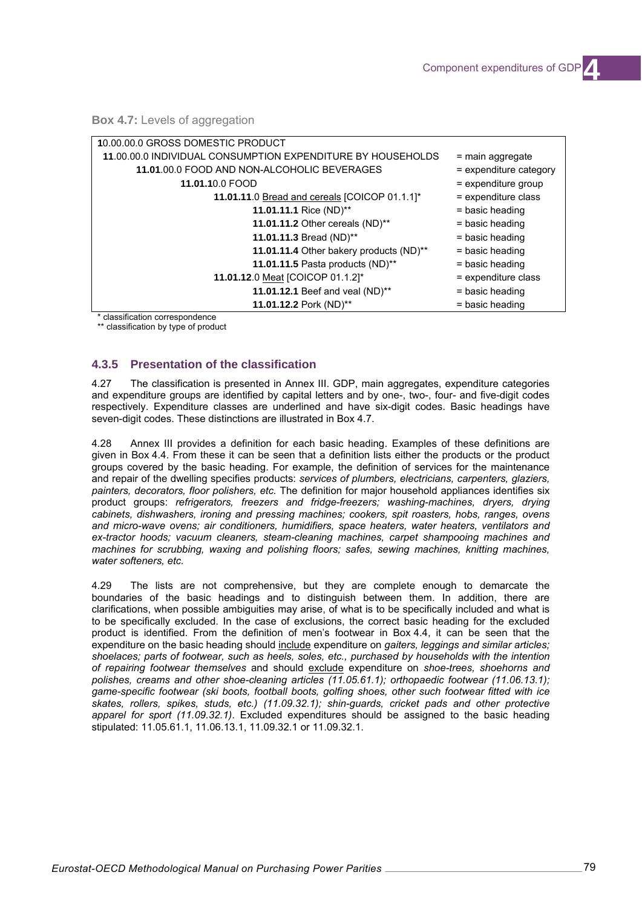**Box 4.7:** Levels of aggregation

| 10.00.00.0 GROSS DOMESTIC PRODUCT                           |                          |
|-------------------------------------------------------------|--------------------------|
| 11.00.00.0 INDIVIDUAL CONSUMPTION EXPENDITURE BY HOUSEHOLDS | $=$ main aggregate       |
| 11.01.00.0 FOOD AND NON-ALCOHOLIC BEVERAGES                 | $=$ expenditure category |
| 11.01.10.0 FOOD                                             | $=$ expenditure group    |
| 11.01.11.0 Bread and cereals [COICOP 01.1.1]*               | = expenditure class      |
| 11.01.11.1 Rice $(ND)$ **                                   | = basic heading          |
| 11.01.11.2 Other cereals (ND)**                             | = basic heading          |
| 11.01.11.3 Bread (ND)**                                     | = basic heading          |
| 11.01.11.4 Other bakery products (ND)**                     | = basic heading          |
| 11.01.11.5 Pasta products (ND)**                            | = basic heading          |
| 11.01.12.0 Meat [COICOP 01.1.2]*                            | = expenditure class      |
| 11.01.12.1 Beef and veal (ND)**                             | = basic heading          |
| 11.01.12.2 Pork (ND)**                                      | = basic heading          |

\* classification correspondence

\*\* classification by type of product

#### **4.3.5 Presentation of the classification**

4.27 The classification is presented in Annex III. GDP, main aggregates, expenditure categories and expenditure groups are identified by capital letters and by one-, two-, four- and five-digit codes respectively. Expenditure classes are underlined and have six-digit codes. Basic headings have seven-digit codes. These distinctions are illustrated in Box 4.7.

4.28 Annex III provides a definition for each basic heading. Examples of these definitions are given in Box 4.4. From these it can be seen that a definition lists either the products or the product groups covered by the basic heading. For example, the definition of services for the maintenance and repair of the dwelling specifies products: *services of plumbers, electricians, carpenters, glaziers, painters, decorators, floor polishers, etc.* The definition for major household appliances identifies six product groups: *refrigerators, freezers and fridge-freezers; washing-machines, dryers, drying cabinets, dishwashers, ironing and pressing machines; cookers, spit roasters, hobs, ranges, ovens and micro-wave ovens; air conditioners, humidifiers, space heaters, water heaters, ventilators and ex-tractor hoods; vacuum cleaners, steam-cleaning machines, carpet shampooing machines and machines for scrubbing, waxing and polishing floors; safes, sewing machines, knitting machines, water softeners, etc.*

4.29 The lists are not comprehensive, but they are complete enough to demarcate the boundaries of the basic headings and to distinguish between them. In addition, there are clarifications, when possible ambiguities may arise, of what is to be specifically included and what is to be specifically excluded. In the case of exclusions, the correct basic heading for the excluded product is identified. From the definition of men's footwear in Box 4.4, it can be seen that the expenditure on the basic heading should include expenditure on *gaiters, leggings and similar articles; shoelaces; parts of footwear, such as heels, soles, etc., purchased by households with the intention of repairing footwear themselves* and should exclude expenditure on *shoe-trees, shoehorns and polishes, creams and other shoe-cleaning articles (11.05.61.1); orthopaedic footwear (11.06.13.1); game-specific footwear (ski boots, football boots, golfing shoes, other such footwear fitted with ice skates, rollers, spikes, studs, etc.) (11.09.32.1); shin-guards, cricket pads and other protective apparel for sport (11.09.32.1)*. Excluded expenditures should be assigned to the basic heading stipulated: 11.05.61.1, 11.06.13.1, 11.09.32.1 or 11.09.32.1.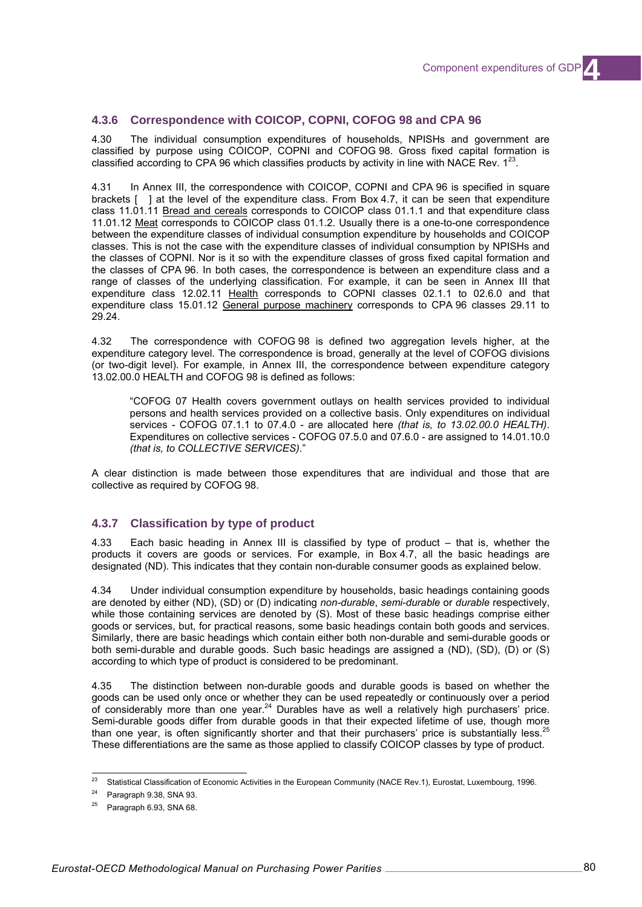#### **4.3.6 Correspondence with COICOP, COPNI, COFOG 98 and CPA 96**

4.30 The individual consumption expenditures of households, NPISHs and government are classified by purpose using COICOP, COPNI and COFOG 98. Gross fixed capital formation is classified according to CPA 96 which classifies products by activity in line with NACE Rev.  $1^{23}$ .

4.31 In Annex III, the correspondence with COICOP, COPNI and CPA 96 is specified in square brackets [ ] at the level of the expenditure class. From Box 4.7, it can be seen that expenditure class 11.01.11 Bread and cereals corresponds to COICOP class 01.1.1 and that expenditure class 11.01.12 Meat corresponds to COICOP class 01.1.2. Usually there is a one-to-one correspondence between the expenditure classes of individual consumption expenditure by households and COICOP classes. This is not the case with the expenditure classes of individual consumption by NPISHs and the classes of COPNI. Nor is it so with the expenditure classes of gross fixed capital formation and the classes of CPA 96. In both cases, the correspondence is between an expenditure class and a range of classes of the underlying classification. For example, it can be seen in Annex III that expenditure class 12.02.11 Health corresponds to COPNI classes 02.1.1 to 02.6.0 and that expenditure class 15.01.12 General purpose machinery corresponds to CPA 96 classes 29.11 to 29.24.

4.32 The correspondence with COFOG 98 is defined two aggregation levels higher, at the expenditure category level. The correspondence is broad, generally at the level of COFOG divisions (or two-digit level). For example, in Annex III, the correspondence between expenditure category 13.02.00.0 HEALTH and COFOG 98 is defined as follows:

"COFOG 07 Health covers government outlays on health services provided to individual persons and health services provided on a collective basis. Only expenditures on individual services - COFOG 07.1.1 to 07.4.0 - are allocated here *(that is, to 13.02.00.0 HEALTH)*. Expenditures on collective services - COFOG 07.5.0 and 07.6.0 - are assigned to 14.01.10.0 *(that is, to COLLECTIVE SERVICES)*."

A clear distinction is made between those expenditures that are individual and those that are collective as required by COFOG 98.

#### **4.3.7 Classification by type of product**

4.33 Each basic heading in Annex III is classified by type of product – that is, whether the products it covers are goods or services. For example, in Box 4.7, all the basic headings are designated (ND). This indicates that they contain non-durable consumer goods as explained below.

4.34 Under individual consumption expenditure by households, basic headings containing goods are denoted by either (ND), (SD) or (D) indicating *non-durable*, *semi-durable* or *durable* respectively, while those containing services are denoted by (S). Most of these basic headings comprise either goods or services, but, for practical reasons, some basic headings contain both goods and services. Similarly, there are basic headings which contain either both non-durable and semi-durable goods or both semi-durable and durable goods. Such basic headings are assigned a (ND), (SD), (D) or (S) according to which type of product is considered to be predominant.

4.35 The distinction between non-durable goods and durable goods is based on whether the goods can be used only once or whether they can be used repeatedly or continuously over a period of considerably more than one year.<sup>24</sup> Durables have as well a relatively high purchasers' price. Semi-durable goods differ from durable goods in that their expected lifetime of use, though more than one year, is often significantly shorter and that their purchasers' price is substantially less.<sup>25</sup> These differentiations are the same as those applied to classify COICOP classes by type of product.

<sup>-</sup><sup>23</sup> Statistical Classification of Economic Activities in the European Community (NACE Rev.1), Eurostat, Luxembourg, 1996.

<sup>24</sup> Paragraph 9.38, SNA 93.

 $25$  Paragraph 6.93, SNA 68.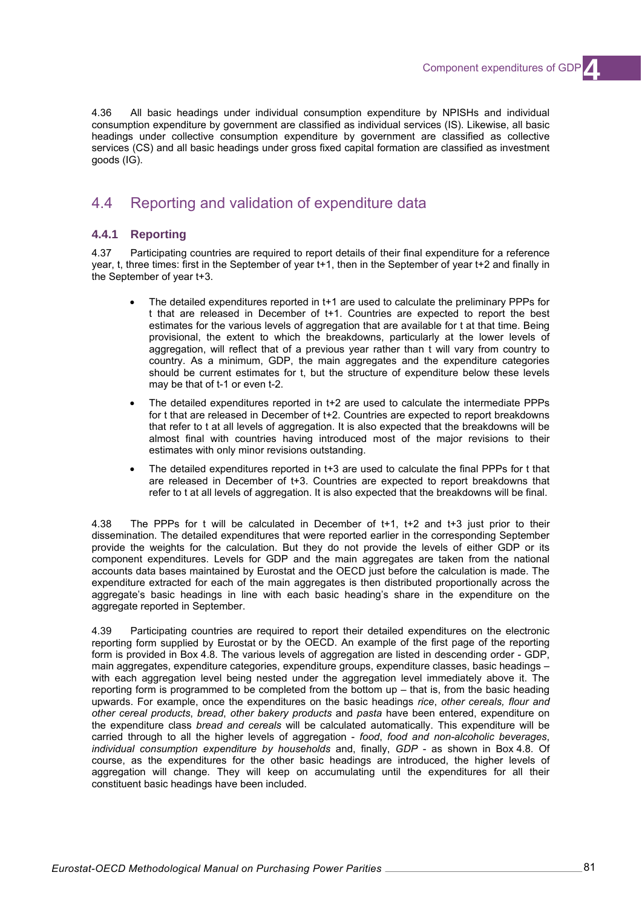4.36 All basic headings under individual consumption expenditure by NPISHs and individual consumption expenditure by government are classified as individual services (IS). Likewise, all basic headings under collective consumption expenditure by government are classified as collective services (CS) and all basic headings under gross fixed capital formation are classified as investment goods (IG).

## 4.4 Reporting and validation of expenditure data

#### **4.4.1 Reporting**

4.37 Participating countries are required to report details of their final expenditure for a reference year, t, three times: first in the September of year t+1, then in the September of year t+2 and finally in the September of year t+3.

- The detailed expenditures reported in t+1 are used to calculate the preliminary PPPs for t that are released in December of t+1. Countries are expected to report the best estimates for the various levels of aggregation that are available for t at that time. Being provisional, the extent to which the breakdowns, particularly at the lower levels of aggregation, will reflect that of a previous year rather than t will vary from country to country. As a minimum, GDP, the main aggregates and the expenditure categories should be current estimates for t, but the structure of expenditure below these levels may be that of t-1 or even t-2.
- The detailed expenditures reported in t+2 are used to calculate the intermediate PPPs for t that are released in December of t+2. Countries are expected to report breakdowns that refer to t at all levels of aggregation. It is also expected that the breakdowns will be almost final with countries having introduced most of the major revisions to their estimates with only minor revisions outstanding.
- The detailed expenditures reported in t+3 are used to calculate the final PPPs for t that are released in December of t+3. Countries are expected to report breakdowns that refer to t at all levels of aggregation. It is also expected that the breakdowns will be final.

4.38 The PPPs for t will be calculated in December of t+1, t+2 and t+3 just prior to their dissemination. The detailed expenditures that were reported earlier in the corresponding September provide the weights for the calculation. But they do not provide the levels of either GDP or its component expenditures. Levels for GDP and the main aggregates are taken from the national accounts data bases maintained by Eurostat and the OECD just before the calculation is made. The expenditure extracted for each of the main aggregates is then distributed proportionally across the aggregate's basic headings in line with each basic heading's share in the expenditure on the aggregate reported in September.

4.39 Participating countries are required to report their detailed expenditures on the electronic reporting form supplied by Eurostat or by the OECD. An example of the first page of the reporting form is provided in Box 4.8. The various levels of aggregation are listed in descending order - GDP, main aggregates, expenditure categories, expenditure groups, expenditure classes, basic headings with each aggregation level being nested under the aggregation level immediately above it. The reporting form is programmed to be completed from the bottom up – that is, from the basic heading upwards. For example, once the expenditures on the basic headings *rice*, *other cereals, flour and other cereal products*, *bread*, *other bakery products* and *pasta* have been entered, expenditure on the expenditure class *bread and cereals* will be calculated automatically. This expenditure will be carried through to all the higher levels of aggregation - *food*, *food and non-alcoholic beverages*, *individual consumption expenditure by households* and, finally, *GDP* - as shown in Box 4.8. Of course, as the expenditures for the other basic headings are introduced, the higher levels of aggregation will change. They will keep on accumulating until the expenditures for all their constituent basic headings have been included.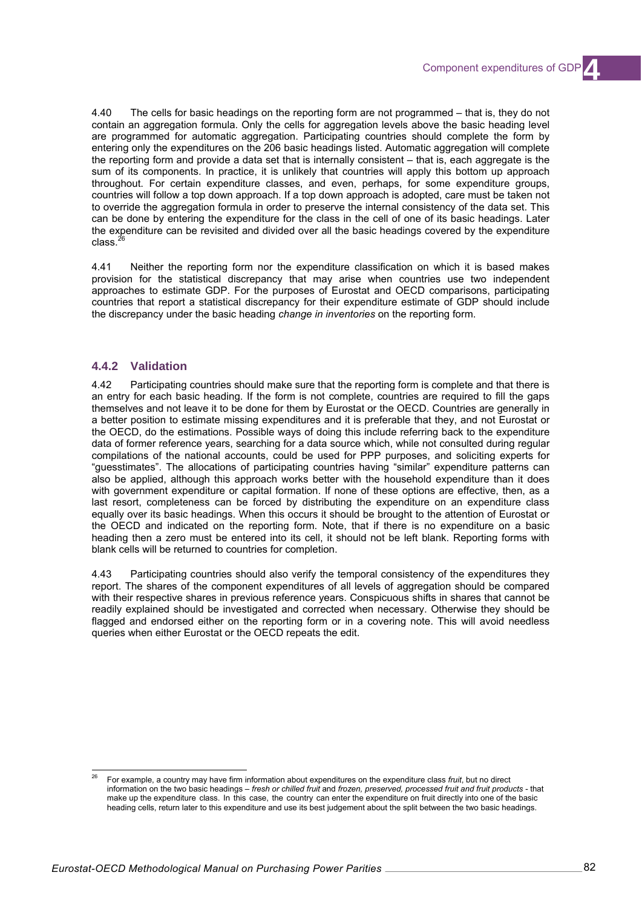4.40 The cells for basic headings on the reporting form are not programmed – that is, they do not contain an aggregation formula. Only the cells for aggregation levels above the basic heading level are programmed for automatic aggregation. Participating countries should complete the form by entering only the expenditures on the 206 basic headings listed. Automatic aggregation will complete the reporting form and provide a data set that is internally consistent – that is, each aggregate is the sum of its components. In practice, it is unlikely that countries will apply this bottom up approach throughout. For certain expenditure classes, and even, perhaps, for some expenditure groups, countries will follow a top down approach. If a top down approach is adopted, care must be taken not to override the aggregation formula in order to preserve the internal consistency of the data set. This can be done by entering the expenditure for the class in the cell of one of its basic headings. Later the expenditure can be revisited and divided over all the basic headings covered by the expenditure class.

4.41 Neither the reporting form nor the expenditure classification on which it is based makes provision for the statistical discrepancy that may arise when countries use two independent approaches to estimate GDP. For the purposes of Eurostat and OECD comparisons, participating countries that report a statistical discrepancy for their expenditure estimate of GDP should include the discrepancy under the basic heading *change in inventories* on the reporting form.

#### **4.4.2 Validation**

4.42 Participating countries should make sure that the reporting form is complete and that there is an entry for each basic heading. If the form is not complete, countries are required to fill the gaps themselves and not leave it to be done for them by Eurostat or the OECD. Countries are generally in a better position to estimate missing expenditures and it is preferable that they, and not Eurostat or the OECD, do the estimations. Possible ways of doing this include referring back to the expenditure data of former reference years, searching for a data source which, while not consulted during regular compilations of the national accounts, could be used for PPP purposes, and soliciting experts for "guesstimates". The allocations of participating countries having "similar" expenditure patterns can also be applied, although this approach works better with the household expenditure than it does with government expenditure or capital formation. If none of these options are effective, then, as a last resort, completeness can be forced by distributing the expenditure on an expenditure class equally over its basic headings. When this occurs it should be brought to the attention of Eurostat or the OECD and indicated on the reporting form. Note, that if there is no expenditure on a basic heading then a zero must be entered into its cell, it should not be left blank. Reporting forms with blank cells will be returned to countries for completion.

4.43 Participating countries should also verify the temporal consistency of the expenditures they report. The shares of the component expenditures of all levels of aggregation should be compared with their respective shares in previous reference years. Conspicuous shifts in shares that cannot be readily explained should be investigated and corrected when necessary. Otherwise they should be flagged and endorsed either on the reporting form or in a covering note. This will avoid needless queries when either Eurostat or the OECD repeats the edit.

 $\overline{2}$ 26 For example, a country may have firm information about expenditures on the expenditure class *fruit*, but no direct information on the two basic headings – *fresh or chilled fruit* and *frozen, preserved, processed fruit and fruit products* - that make up the expenditure class. In this case, the country can enter the expenditure on fruit directly into one of the basic heading cells, return later to this expenditure and use its best judgement about the split between the two basic headings.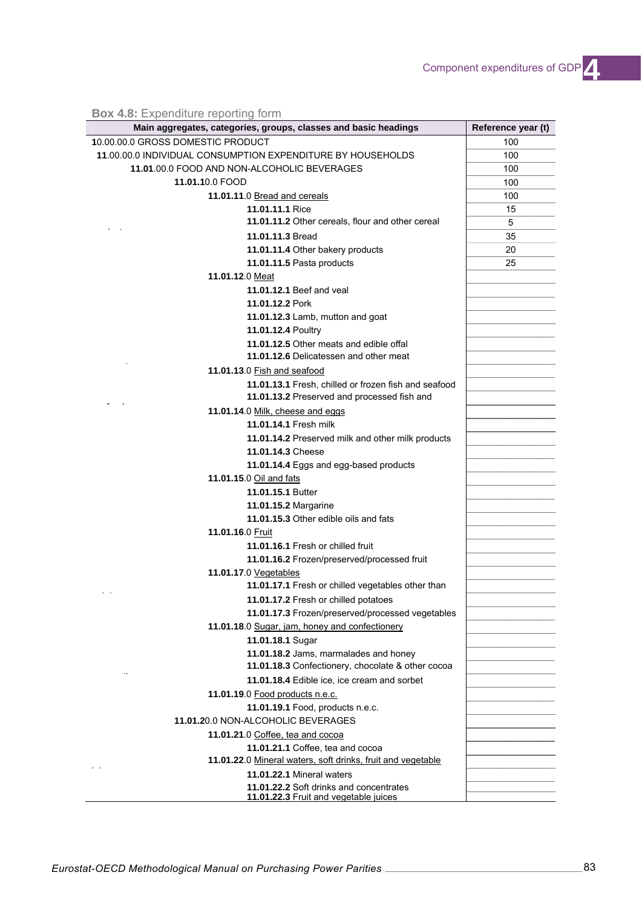|  | <b>Box 4.8:</b> Expenditure reporting form |  |  |
|--|--------------------------------------------|--|--|
|--|--------------------------------------------|--|--|

| $\bullet$ A TIOI LAPOHARAD IOPOHAIQ IOIIII<br>Main aggregates, categories, groups, classes and basic headings | Reference year (t) |
|---------------------------------------------------------------------------------------------------------------|--------------------|
| 10.00.00.0 GROSS DOMESTIC PRODUCT                                                                             | 100                |
| 11.00.00.0 INDIVIDUAL CONSUMPTION EXPENDITURE BY HOUSEHOLDS                                                   | 100                |
| 11.01.00.0 FOOD AND NON-ALCOHOLIC BEVERAGES                                                                   | 100                |
| 11.01.10.0 FOOD                                                                                               | 100                |
| 11.01.11.0 Bread and cereals                                                                                  | 100                |
| 11.01.11.1 Rice                                                                                               | 15                 |
| 11.01.11.2 Other cereals, flour and other cereal                                                              | 5                  |
| 11.01.11.3 Bread                                                                                              | 35                 |
| 11.01.11.4 Other bakery products                                                                              | 20                 |
| 11.01.11.5 Pasta products                                                                                     | 25                 |
| 11.01.12.0 Meat                                                                                               |                    |
| <b>11.01.12.1 Beef and yeal</b>                                                                               |                    |
| 11.01.12.2 Pork                                                                                               |                    |
| 11.01.12.3 Lamb, mutton and goat                                                                              |                    |
| 11.01.12.4 Poultry                                                                                            |                    |
| 11.01.12.5 Other meats and edible offal                                                                       |                    |
| 11.01.12.6 Delicatessen and other meat                                                                        |                    |
| 11.01.13.0 Fish and seafood                                                                                   |                    |
| 11.01.13.1 Fresh, chilled or frozen fish and seafood                                                          |                    |
| 11.01.13.2 Preserved and processed fish and                                                                   |                    |
| 11.01.14.0 Milk, cheese and eggs                                                                              |                    |
| 11.01.14.1 Fresh milk                                                                                         |                    |
| 11.01.14.2 Preserved milk and other milk products                                                             |                    |
| 11.01.14.3 Cheese                                                                                             |                    |
| 11.01.14.4 Eggs and egg-based products                                                                        |                    |
| 11.01.15.0 Oil and fats                                                                                       |                    |
| 11.01.15.1 Butter                                                                                             |                    |
| 11.01.15.2 Margarine                                                                                          |                    |
| 11.01.15.3 Other edible oils and fats                                                                         |                    |
| 11.01.16.0 Fruit                                                                                              |                    |
| 11.01.16.1 Fresh or chilled fruit                                                                             |                    |
| 11.01.16.2 Frozen/preserved/processed fruit                                                                   |                    |
| 11.01.17.0 Vegetables                                                                                         |                    |
| 11.01.17.1 Fresh or chilled vegetables other than                                                             |                    |
| 11.01.17.2 Fresh or chilled potatoes                                                                          |                    |
| 11.01.17.3 Frozen/preserved/processed vegetables                                                              |                    |
| 11.01.18.0 Sugar, jam, honey and confectionery                                                                |                    |
| 11.01.18.1 Sugar                                                                                              |                    |
| 11.01.18.2 Jams, marmalades and honey<br>11.01.18.3 Confectionery, chocolate & other cocoa                    |                    |
|                                                                                                               |                    |
| 11.01.18.4 Edible ice, ice cream and sorbet<br>11.01.19.0 Food products n.e.c.                                |                    |
| 11.01.19.1 Food, products n.e.c.                                                                              |                    |
| 11.01.20.0 NON-ALCOHOLIC BEVERAGES                                                                            |                    |
| 11.01.21.0 Coffee, tea and cocoa                                                                              |                    |
| 11.01.21.1 Coffee, tea and cocoa                                                                              |                    |
| 11.01.22.0 Mineral waters, soft drinks, fruit and vegetable                                                   |                    |
| <b>11.01.22.1 Mineral waters</b>                                                                              |                    |
| 11.01.22.2 Soft drinks and concentrates                                                                       |                    |
| 11.01.22.3 Fruit and vegetable juices                                                                         |                    |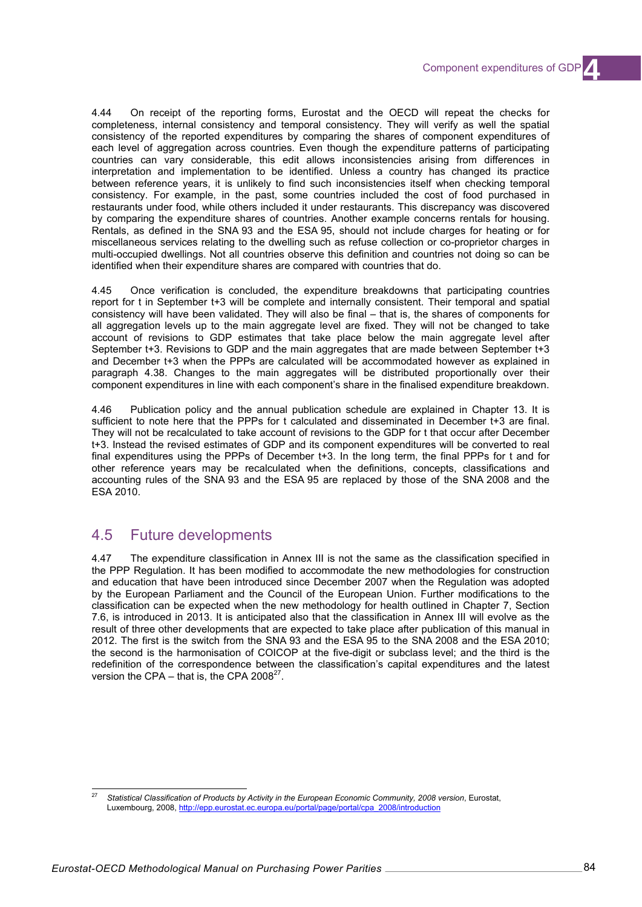4.44 On receipt of the reporting forms, Eurostat and the OECD will repeat the checks for completeness, internal consistency and temporal consistency. They will verify as well the spatial consistency of the reported expenditures by comparing the shares of component expenditures of each level of aggregation across countries. Even though the expenditure patterns of participating countries can vary considerable, this edit allows inconsistencies arising from differences in interpretation and implementation to be identified. Unless a country has changed its practice between reference years, it is unlikely to find such inconsistencies itself when checking temporal consistency. For example, in the past, some countries included the cost of food purchased in restaurants under food, while others included it under restaurants. This discrepancy was discovered by comparing the expenditure shares of countries. Another example concerns rentals for housing. Rentals, as defined in the SNA 93 and the ESA 95, should not include charges for heating or for miscellaneous services relating to the dwelling such as refuse collection or co-proprietor charges in multi-occupied dwellings. Not all countries observe this definition and countries not doing so can be identified when their expenditure shares are compared with countries that do.

4.45 Once verification is concluded, the expenditure breakdowns that participating countries report for t in September t+3 will be complete and internally consistent. Their temporal and spatial consistency will have been validated. They will also be final – that is, the shares of components for all aggregation levels up to the main aggregate level are fixed. They will not be changed to take account of revisions to GDP estimates that take place below the main aggregate level after September t+3. Revisions to GDP and the main aggregates that are made between September t+3 and December t+3 when the PPPs are calculated will be accommodated however as explained in paragraph 4.38. Changes to the main aggregates will be distributed proportionally over their component expenditures in line with each component's share in the finalised expenditure breakdown.

4.46 Publication policy and the annual publication schedule are explained in Chapter 13. It is sufficient to note here that the PPPs for t calculated and disseminated in December t+3 are final. They will not be recalculated to take account of revisions to the GDP for t that occur after December t+3. Instead the revised estimates of GDP and its component expenditures will be converted to real final expenditures using the PPPs of December t+3. In the long term, the final PPPs for t and for other reference years may be recalculated when the definitions, concepts, classifications and accounting rules of the SNA 93 and the ESA 95 are replaced by those of the SNA 2008 and the ESA 2010.

### 4.5 Future developments

4.47 The expenditure classification in Annex III is not the same as the classification specified in the PPP Regulation. It has been modified to accommodate the new methodologies for construction and education that have been introduced since December 2007 when the Regulation was adopted by the European Parliament and the Council of the European Union. Further modifications to the classification can be expected when the new methodology for health outlined in Chapter 7, Section 7.6, is introduced in 2013. It is anticipated also that the classification in Annex III will evolve as the result of three other developments that are expected to take place after publication of this manual in 2012. The first is the switch from the SNA 93 and the ESA 95 to the SNA 2008 and the ESA 2010; the second is the harmonisation of COICOP at the five-digit or subclass level; and the third is the redefinition of the correspondence between the classification's capital expenditures and the latest version the CPA – that is, the CPA 2008 $^{27}$ .

<sup>-</sup><sup>27</sup> *Statistical Classification of Products by Activity in the European Economic Community, 2008 version*, Eurostat, Luxembourg, 2008, [http://epp.eurostat.ec.europa.eu/portal/page/portal/cpa\\_2008/introduction](http://epp.eurostat.ec.europa.eu/portal/page/portal/cpa_2008/introduction)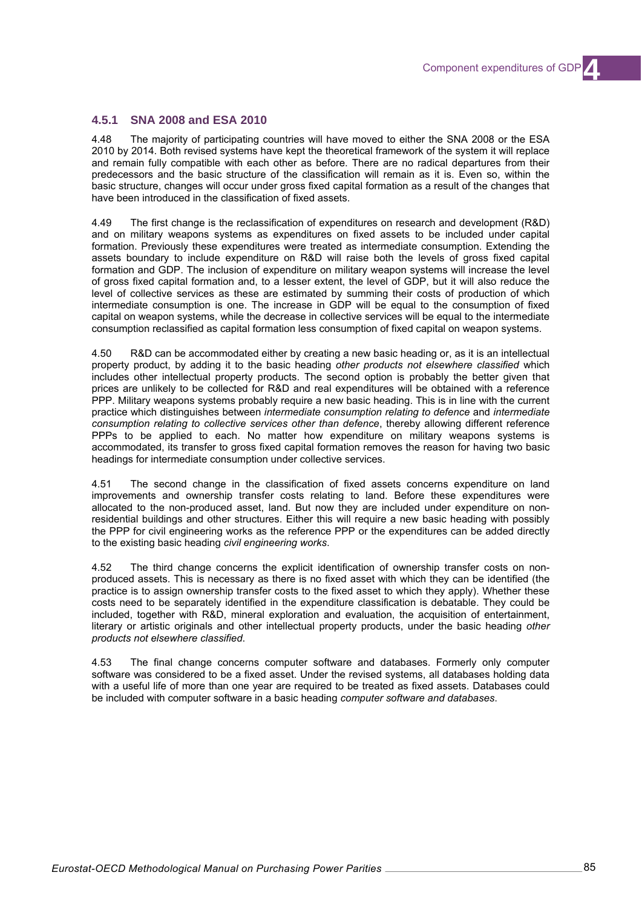#### **4.5.1 SNA 2008 and ESA 2010**

4.48 The majority of participating countries will have moved to either the SNA 2008 or the ESA 2010 by 2014. Both revised systems have kept the theoretical framework of the system it will replace and remain fully compatible with each other as before. There are no radical departures from their predecessors and the basic structure of the classification will remain as it is. Even so, within the basic structure, changes will occur under gross fixed capital formation as a result of the changes that have been introduced in the classification of fixed assets.

4.49 The first change is the reclassification of expenditures on research and development (R&D) and on military weapons systems as expenditures on fixed assets to be included under capital formation. Previously these expenditures were treated as intermediate consumption. Extending the assets boundary to include expenditure on R&D will raise both the levels of gross fixed capital formation and GDP. The inclusion of expenditure on military weapon systems will increase the level of gross fixed capital formation and, to a lesser extent, the level of GDP, but it will also reduce the level of collective services as these are estimated by summing their costs of production of which intermediate consumption is one. The increase in GDP will be equal to the consumption of fixed capital on weapon systems, while the decrease in collective services will be equal to the intermediate consumption reclassified as capital formation less consumption of fixed capital on weapon systems.

4.50 R&D can be accommodated either by creating a new basic heading or, as it is an intellectual property product, by adding it to the basic heading *other products not elsewhere classified* which includes other intellectual property products. The second option is probably the better given that prices are unlikely to be collected for R&D and real expenditures will be obtained with a reference PPP. Military weapons systems probably require a new basic heading. This is in line with the current practice which distinguishes between *intermediate consumption relating to defence* and *intermediate consumption relating to collective services other than defence*, thereby allowing different reference PPPs to be applied to each. No matter how expenditure on military weapons systems is accommodated, its transfer to gross fixed capital formation removes the reason for having two basic headings for intermediate consumption under collective services.

4.51 The second change in the classification of fixed assets concerns expenditure on land improvements and ownership transfer costs relating to land. Before these expenditures were allocated to the non-produced asset, land. But now they are included under expenditure on nonresidential buildings and other structures. Either this will require a new basic heading with possibly the PPP for civil engineering works as the reference PPP or the expenditures can be added directly to the existing basic heading *civil engineering works*.

4.52 The third change concerns the explicit identification of ownership transfer costs on nonproduced assets. This is necessary as there is no fixed asset with which they can be identified (the practice is to assign ownership transfer costs to the fixed asset to which they apply). Whether these costs need to be separately identified in the expenditure classification is debatable. They could be included, together with R&D, mineral exploration and evaluation, the acquisition of entertainment, literary or artistic originals and other intellectual property products, under the basic heading *other products not elsewhere classified*.

4.53 The final change concerns computer software and databases. Formerly only computer software was considered to be a fixed asset. Under the revised systems, all databases holding data with a useful life of more than one year are required to be treated as fixed assets. Databases could be included with computer software in a basic heading *computer software and databases*.